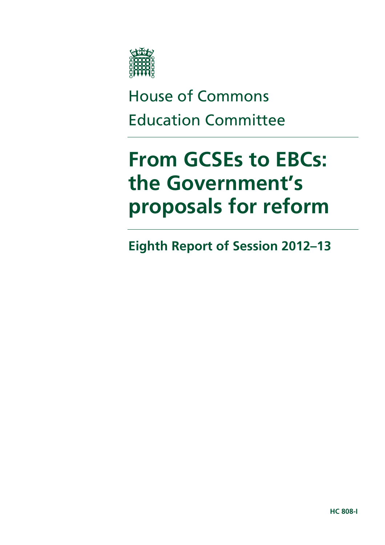

# House of Commons Education Committee

# **From GCSEs to EBCs: the Government's proposals for reform**

**Eighth Report of Session 2012–13**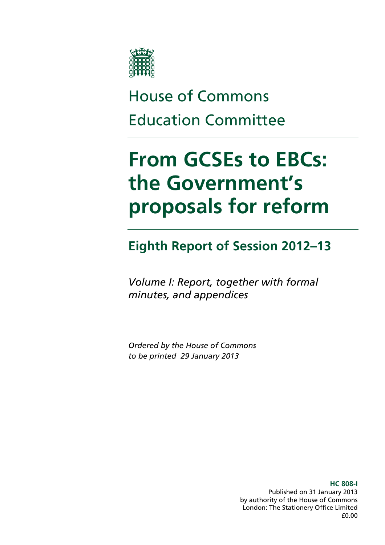

# House of Commons Education Committee

# **From GCSEs to EBCs: the Government's proposals for reform**

### **Eighth Report of Session 2012–13**

*Volume I: Report, together with formal minutes, and appendices* 

*Ordered by the House of Commons to be printed 29 January 2013* 

> **HC 808-I**  Published on 31 January 2013 by authority of the House of Commons London: The Stationery Office Limited £0.00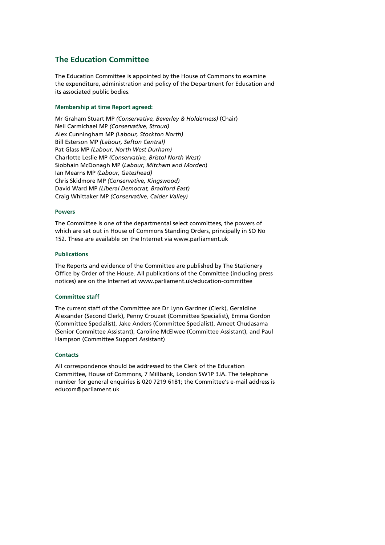#### **The Education Committee**

The Education Committee is appointed by the House of Commons to examine the expenditure, administration and policy of the Department for Education and its associated public bodies.

#### **Membership at time Report agreed:**

Mr Graham Stuart MP *(Conservative, Beverley & Holderness)* (Chair) Neil Carmichael MP *(Conservative, Stroud)*  Alex Cunningham MP *(Labour, Stockton North)* Bill Esterson MP *(Labour, Sefton Central)*  Pat Glass MP *(Labour, North West Durham)*  Charlotte Leslie MP *(Conservative, Bristol North West)*  Siobhain McDonagh MP (*Labour, Mitcham and Morden*) Ian Mearns MP *(Labour, Gateshead)*  Chris Skidmore MP *(Conservative, Kingswood)*  David Ward MP *(Liberal Democrat, Bradford East)*  Craig Whittaker MP *(Conservative, Calder Valley)* 

#### **Powers**

The Committee is one of the departmental select committees, the powers of which are set out in House of Commons Standing Orders, principally in SO No 152. These are available on the Internet via www.parliament.uk

#### **Publications**

The Reports and evidence of the Committee are published by The Stationery Office by Order of the House. All publications of the Committee (including press notices) are on the Internet at www.parliament.uk/education-committee

#### **Committee staff**

The current staff of the Committee are Dr Lynn Gardner (Clerk), Geraldine Alexander (Second Clerk), Penny Crouzet (Committee Specialist), Emma Gordon (Committee Specialist), Jake Anders (Committee Specialist), Ameet Chudasama (Senior Committee Assistant), Caroline McElwee (Committee Assistant), and Paul Hampson (Committee Support Assistant)

#### **Contacts**

All correspondence should be addressed to the Clerk of the Education Committee, House of Commons, 7 Millbank, London SW1P 3JA. The telephone number for general enquiries is 020 7219 6181; the Committee's e-mail address is educom@parliament.uk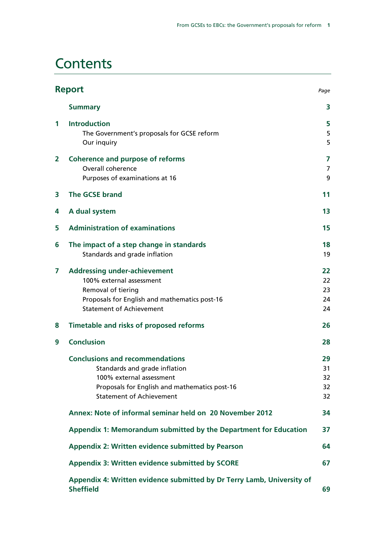### **Contents**

| <b>Report</b>  |                                                                                            | Page     |
|----------------|--------------------------------------------------------------------------------------------|----------|
|                | <b>Summary</b>                                                                             | 3        |
| $\mathbf 1$    | <b>Introduction</b>                                                                        | 5        |
|                | The Government's proposals for GCSE reform                                                 | 5        |
|                | Our inquiry                                                                                | 5        |
| $\overline{2}$ | <b>Coherence and purpose of reforms</b>                                                    | 7        |
|                | Overall coherence                                                                          | 7        |
|                | Purposes of examinations at 16                                                             | 9        |
| 3              | <b>The GCSE brand</b>                                                                      | 11       |
| 4              | A dual system                                                                              | 13       |
| 5              | <b>Administration of examinations</b>                                                      | 15       |
| 6              | The impact of a step change in standards                                                   | 18       |
|                | Standards and grade inflation                                                              | 19       |
| 7              | <b>Addressing under-achievement</b>                                                        | 22       |
|                | 100% external assessment                                                                   | 22       |
|                | Removal of tiering<br>Proposals for English and mathematics post-16                        | 23<br>24 |
|                | <b>Statement of Achievement</b>                                                            | 24       |
| 8              | Timetable and risks of proposed reforms                                                    | 26       |
| 9              | <b>Conclusion</b>                                                                          | 28       |
|                | <b>Conclusions and recommendations</b>                                                     | 29       |
|                | Standards and grade inflation                                                              | 31       |
|                | 100% external assessment                                                                   | 32       |
|                | Proposals for English and mathematics post-16                                              | 32       |
|                | <b>Statement of Achievement</b>                                                            | 32       |
|                | Annex: Note of informal seminar held on 20 November 2012                                   | 34       |
|                | Appendix 1: Memorandum submitted by the Department for Education                           | 37       |
|                | Appendix 2: Written evidence submitted by Pearson                                          | 64       |
|                | Appendix 3: Written evidence submitted by SCORE                                            | 67       |
|                | Appendix 4: Written evidence submitted by Dr Terry Lamb, University of<br><b>Sheffield</b> | 69       |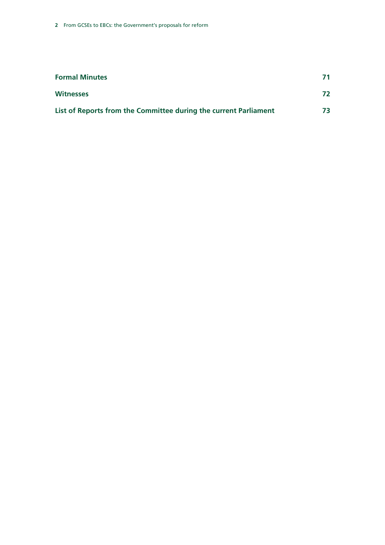| <b>Formal Minutes</b>                                            | 71 |
|------------------------------------------------------------------|----|
| <b>Witnesses</b>                                                 | 72 |
| List of Reports from the Committee during the current Parliament | 73 |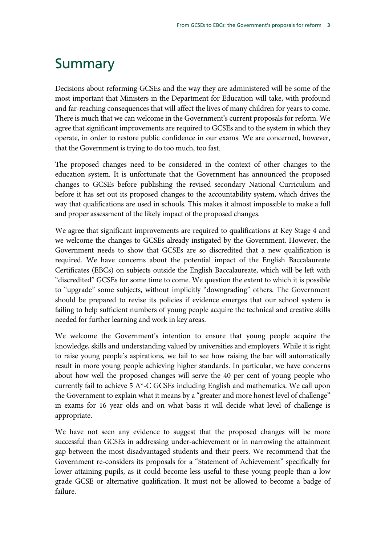# Summary

Decisions about reforming GCSEs and the way they are administered will be some of the most important that Ministers in the Department for Education will take, with profound and far-reaching consequences that will affect the lives of many children for years to come. There is much that we can welcome in the Government's current proposals for reform. We agree that significant improvements are required to GCSEs and to the system in which they operate, in order to restore public confidence in our exams. We are concerned, however, that the Government is trying to do too much, too fast.

The proposed changes need to be considered in the context of other changes to the education system. It is unfortunate that the Government has announced the proposed changes to GCSEs before publishing the revised secondary National Curriculum and before it has set out its proposed changes to the accountability system, which drives the way that qualifications are used in schools. This makes it almost impossible to make a full and proper assessment of the likely impact of the proposed changes.

We agree that significant improvements are required to qualifications at Key Stage 4 and we welcome the changes to GCSEs already instigated by the Government. However, the Government needs to show that GCSEs are so discredited that a new qualification is required. We have concerns about the potential impact of the English Baccalaureate Certificates (EBCs) on subjects outside the English Baccalaureate, which will be left with "discredited" GCSEs for some time to come. We question the extent to which it is possible to "upgrade" some subjects, without implicitly "downgrading" others. The Government should be prepared to revise its policies if evidence emerges that our school system is failing to help sufficient numbers of young people acquire the technical and creative skills needed for further learning and work in key areas.

We welcome the Government's intention to ensure that young people acquire the knowledge, skills and understanding valued by universities and employers. While it is right to raise young people's aspirations, we fail to see how raising the bar will automatically result in more young people achieving higher standards. In particular, we have concerns about how well the proposed changes will serve the 40 per cent of young people who currently fail to achieve 5 A\*-C GCSEs including English and mathematics. We call upon the Government to explain what it means by a "greater and more honest level of challenge" in exams for 16 year olds and on what basis it will decide what level of challenge is appropriate.

We have not seen any evidence to suggest that the proposed changes will be more successful than GCSEs in addressing under-achievement or in narrowing the attainment gap between the most disadvantaged students and their peers. We recommend that the Government re-considers its proposals for a "Statement of Achievement" specifically for lower attaining pupils, as it could become less useful to these young people than a low grade GCSE or alternative qualification. It must not be allowed to become a badge of failure.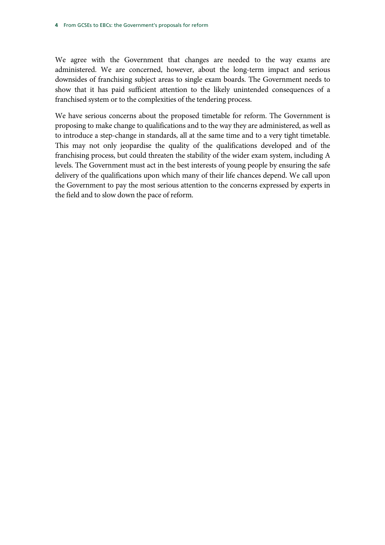We agree with the Government that changes are needed to the way exams are administered. We are concerned, however, about the long-term impact and serious downsides of franchising subject areas to single exam boards. The Government needs to show that it has paid sufficient attention to the likely unintended consequences of a franchised system or to the complexities of the tendering process.

We have serious concerns about the proposed timetable for reform. The Government is proposing to make change to qualifications and to the way they are administered, as well as to introduce a step-change in standards, all at the same time and to a very tight timetable. This may not only jeopardise the quality of the qualifications developed and of the franchising process, but could threaten the stability of the wider exam system, including A levels. The Government must act in the best interests of young people by ensuring the safe delivery of the qualifications upon which many of their life chances depend. We call upon the Government to pay the most serious attention to the concerns expressed by experts in the field and to slow down the pace of reform.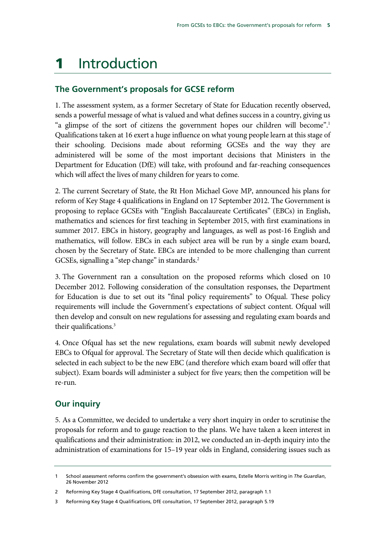## 1 Introduction

### **The Government's proposals for GCSE reform**

1. The assessment system, as a former Secretary of State for Education recently observed, sends a powerful message of what is valued and what defines success in a country, giving us "a glimpse of the sort of citizens the government hopes our children will become".<sup>1</sup> Qualifications taken at 16 exert a huge influence on what young people learn at this stage of their schooling. Decisions made about reforming GCSEs and the way they are administered will be some of the most important decisions that Ministers in the Department for Education (DfE) will take, with profound and far-reaching consequences which will affect the lives of many children for years to come.

2. The current Secretary of State, the Rt Hon Michael Gove MP, announced his plans for reform of Key Stage 4 qualifications in England on 17 September 2012. The Government is proposing to replace GCSEs with "English Baccalaureate Certificates" (EBCs) in English, mathematics and sciences for first teaching in September 2015, with first examinations in summer 2017. EBCs in history, geography and languages, as well as post-16 English and mathematics, will follow. EBCs in each subject area will be run by a single exam board, chosen by the Secretary of State. EBCs are intended to be more challenging than current GCSEs, signalling a "step change" in standards.<sup>2</sup>

3. The Government ran a consultation on the proposed reforms which closed on 10 December 2012. Following consideration of the consultation responses, the Department for Education is due to set out its "final policy requirements" to Ofqual. These policy requirements will include the Government's expectations of subject content. Ofqual will then develop and consult on new regulations for assessing and regulating exam boards and their qualifications.<sup>3</sup>

4. Once Ofqual has set the new regulations, exam boards will submit newly developed EBCs to Ofqual for approval. The Secretary of State will then decide which qualification is selected in each subject to be the new EBC (and therefore which exam board will offer that subject). Exam boards will administer a subject for five years; then the competition will be re-run.

### **Our inquiry**

5. As a Committee, we decided to undertake a very short inquiry in order to scrutinise the proposals for reform and to gauge reaction to the plans. We have taken a keen interest in qualifications and their administration: in 2012, we conducted an in-depth inquiry into the administration of examinations for 15–19 year olds in England, considering issues such as

<sup>1</sup> School assessment reforms confirm the government's obsession with exams, Estelle Morris writing in *The Guardian*, 26 November 2012

<sup>2</sup> Reforming Key Stage 4 Qualifications, DfE consultation, 17 September 2012, paragraph 1.1

<sup>3</sup> Reforming Key Stage 4 Qualifications, DfE consultation, 17 September 2012, paragraph 5.19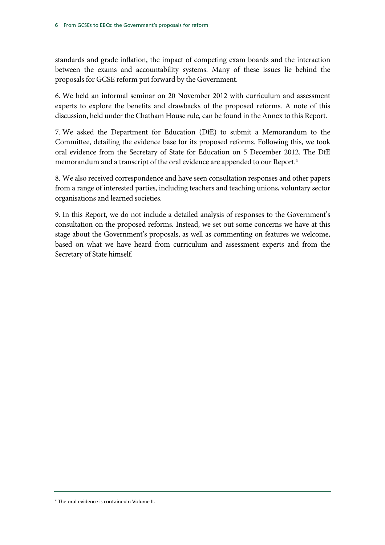standards and grade inflation, the impact of competing exam boards and the interaction between the exams and accountability systems. Many of these issues lie behind the proposals for GCSE reform put forward by the Government.

6. We held an informal seminar on 20 November 2012 with curriculum and assessment experts to explore the benefits and drawbacks of the proposed reforms. A note of this discussion, held under the Chatham House rule, can be found in the Annex to this Report.

7. We asked the Department for Education (DfE) to submit a Memorandum to the Committee, detailing the evidence base for its proposed reforms. Following this, we took oral evidence from the Secretary of State for Education on 5 December 2012. The DfE memorandum and a transcript of the oral evidence are appended to our Report.<sup>4</sup>

8. We also received correspondence and have seen consultation responses and other papers from a range of interested parties, including teachers and teaching unions, voluntary sector organisations and learned societies.

9. In this Report, we do not include a detailed analysis of responses to the Government's consultation on the proposed reforms. Instead, we set out some concerns we have at this stage about the Government's proposals, as well as commenting on features we welcome, based on what we have heard from curriculum and assessment experts and from the Secretary of State himself.

4 The oral evidence is contained n Volume II.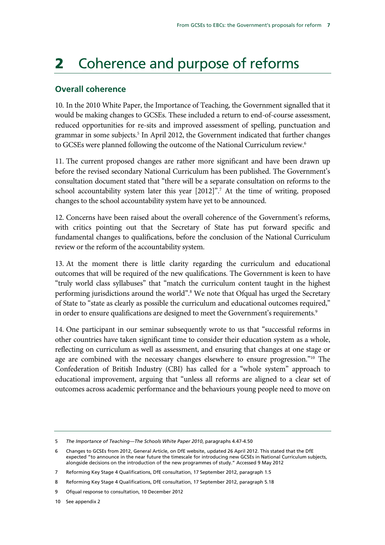# 2 Coherence and purpose of reforms

#### **Overall coherence**

10. In the 2010 White Paper, the Importance of Teaching, the Government signalled that it would be making changes to GCSEs. These included a return to end-of-course assessment, reduced opportunities for re-sits and improved assessment of spelling, punctuation and grammar in some subjects.<sup>5</sup> In April 2012, the Government indicated that further changes to GCSEs were planned following the outcome of the National Curriculum review.<sup>6</sup>

11. The current proposed changes are rather more significant and have been drawn up before the revised secondary National Curriculum has been published. The Government's consultation document stated that "there will be a separate consultation on reforms to the school accountability system later this year [2012]".<sup>7</sup> At the time of writing, proposed changes to the school accountability system have yet to be announced.

12. Concerns have been raised about the overall coherence of the Government's reforms, with critics pointing out that the Secretary of State has put forward specific and fundamental changes to qualifications, before the conclusion of the National Curriculum review or the reform of the accountability system.

13. At the moment there is little clarity regarding the curriculum and educational outcomes that will be required of the new qualifications. The Government is keen to have "truly world class syllabuses" that "match the curriculum content taught in the highest performing jurisdictions around the world".<sup>8</sup> We note that Ofqual has urged the Secretary of State to "state as clearly as possible the curriculum and educational outcomes required," in order to ensure qualifications are designed to meet the Government's requirements.<sup>9</sup>

14. One participant in our seminar subsequently wrote to us that "successful reforms in other countries have taken significant time to consider their education system as a whole, reflecting on curriculum as well as assessment, and ensuring that changes at one stage or age are combined with the necessary changes elsewhere to ensure progression."<sup>10</sup> The Confederation of British Industry (CBI) has called for a "whole system" approach to educational improvement, arguing that "unless all reforms are aligned to a clear set of outcomes across academic performance and the behaviours young people need to move on

10 See appendix 2

<sup>5</sup> *The Importance of Teaching—The Schools White Paper 2010*, paragraphs 4.47-4.50

<sup>6</sup> Changes to GCSEs from 2012, General Article, on DfE website, updated 26 April 2012. This stated that the DfE expected "to announce in the near future the timescale for introducing new GCSEs in National Curriculum subjects, alongside decisions on the introduction of the new programmes of study." Accessed 9 May 2012

<sup>7</sup> Reforming Key Stage 4 Qualifications, DfE consultation, 17 September 2012, paragraph 1.5

<sup>8</sup> Reforming Key Stage 4 Qualifications, DfE consultation, 17 September 2012, paragraph 5.18

<sup>9</sup> Ofqual response to consultation, 10 December 2012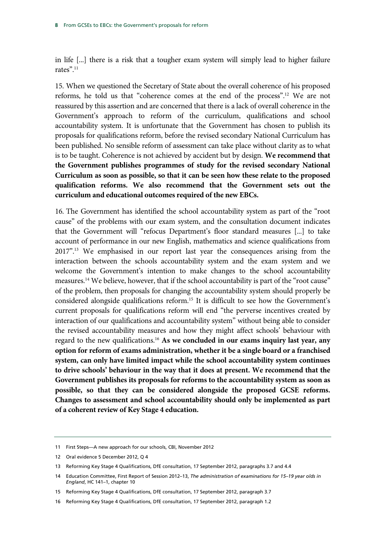in life [...] there is a risk that a tougher exam system will simply lead to higher failure rates".11

15. When we questioned the Secretary of State about the overall coherence of his proposed reforms, he told us that "coherence comes at the end of the process".12 We are not reassured by this assertion and are concerned that there is a lack of overall coherence in the Government's approach to reform of the curriculum, qualifications and school accountability system. It is unfortunate that the Government has chosen to publish its proposals for qualifications reform, before the revised secondary National Curriculum has been published. No sensible reform of assessment can take place without clarity as to what is to be taught. Coherence is not achieved by accident but by design. **We recommend that the Government publishes programmes of study for the revised secondary National Curriculum as soon as possible, so that it can be seen how these relate to the proposed qualification reforms. We also recommend that the Government sets out the curriculum and educational outcomes required of the new EBCs.** 

16. The Government has identified the school accountability system as part of the "root cause" of the problems with our exam system, and the consultation document indicates that the Government will "refocus Department's floor standard measures [...] to take account of performance in our new English, mathematics and science qualifications from 2017".13 We emphasised in our report last year the consequences arising from the interaction between the schools accountability system and the exam system and we welcome the Government's intention to make changes to the school accountability measures.<sup>14</sup> We believe, however, that if the school accountability is part of the "root cause" of the problem, then proposals for changing the accountability system should properly be considered alongside qualifications reform.15 It is difficult to see how the Government's current proposals for qualifications reform will end "the perverse incentives created by interaction of our qualifications and accountability system" without being able to consider the revised accountability measures and how they might affect schools' behaviour with regard to the new qualifications.16 **As we concluded in our exams inquiry last year, any option for reform of exams administration, whether it be a single board or a franchised system, can only have limited impact while the school accountability system continues to drive schools' behaviour in the way that it does at present. We recommend that the Government publishes its proposals for reforms to the accountability system as soon as possible, so that they can be considered alongside the proposed GCSE reforms. Changes to assessment and school accountability should only be implemented as part of a coherent review of Key Stage 4 education.** 

<sup>11</sup> First Steps—A new approach for our schools, CBI, November 2012

<sup>12</sup> Oral evidence 5 December 2012, Q 4

<sup>13</sup> Reforming Key Stage 4 Qualifications, DfE consultation, 17 September 2012, paragraphs 3.7 and 4.4

<sup>14</sup> Education Committee, First Report of Session 2012–13, *The administration of examinations for 15–19 year olds in England*, HC 141–1, chapter 10

<sup>15</sup> Reforming Key Stage 4 Qualifications, DfE consultation, 17 September 2012, paragraph 3.7

<sup>16</sup> Reforming Key Stage 4 Qualifications, DfE consultation, 17 September 2012, paragraph 1.2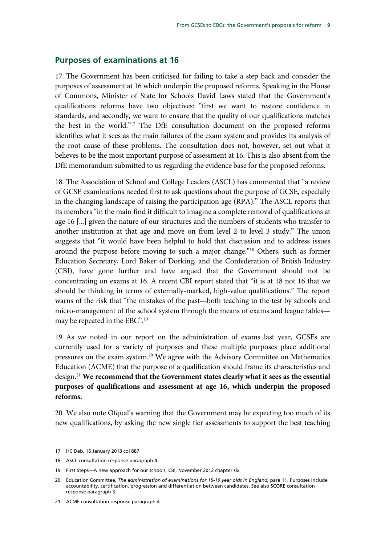#### **Purposes of examinations at 16**

17. The Government has been criticised for failing to take a step back and consider the purposes of assessment at 16 which underpin the proposed reforms. Speaking in the House of Commons, Minister of State for Schools David Laws stated that the Government's qualifications reforms have two objectives: "first we want to restore confidence in standards, and secondly, we want to ensure that the quality of our qualifications matches the best in the world."17 The DfE consultation document on the proposed reforms identifies what it sees as the main failures of the exam system and provides its analysis of the root cause of these problems. The consultation does not, however, set out what it believes to be the most important purpose of assessment at 16. This is also absent from the DfE memorandum submitted to us regarding the evidence base for the proposed reforms.

18. The Association of School and College Leaders (ASCL) has commented that "a review of GCSE examinations needed first to ask questions about the purpose of GCSE, especially in the changing landscape of raising the participation age (RPA)." The ASCL reports that its members "in the main find it difficult to imagine a complete removal of qualifications at age 16 [...] given the nature of our structures and the numbers of students who transfer to another institution at that age and move on from level 2 to level 3 study." The union suggests that "it would have been helpful to hold that discussion and to address issues around the purpose before moving to such a major change."18 Others, such as former Education Secretary, Lord Baker of Dorking, and the Confederation of British Industry (CBI), have gone further and have argued that the Government should not be concentrating on exams at 16. A recent CBI report stated that "it is at 18 not 16 that we should be thinking in terms of externally-marked, high-value qualifications." The report warns of the risk that "the mistakes of the past—both teaching to the test by schools and micro-management of the school system through the means of exams and league tables may be repeated in the EBC".19

19. As we noted in our report on the administration of exams last year, GCSEs are currently used for a variety of purposes and these multiple purposes place additional pressures on the exam system.20 We agree with the Advisory Committee on Mathematics Education (ACME) that the purpose of a qualification should frame its characteristics and design.21 **We recommend that the Government states clearly what it sees as the essential purposes of qualifications and assessment at age 16, which underpin the proposed reforms.** 

20. We also note Ofqual's warning that the Government may be expecting too much of its new qualifications, by asking the new single tier assessments to support the best teaching

<sup>17</sup> HC Deb, 16 January 2013 col 887

<sup>18</sup> ASCL consultation response paragraph 4

<sup>19</sup> First Steps—A new approach for our schools, CBI, November 2012 chapter six

<sup>20</sup> Education Committee, *The administration of examinations for 15-19 year olds in England,* para 11. Purposes include accountability, certification, progression and differentiation between candidates. See also SCORE consultation response paragraph 3

<sup>21</sup> ACME consultation response paragraph 4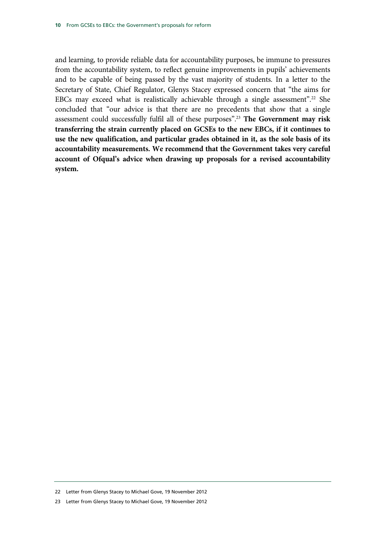and learning, to provide reliable data for accountability purposes, be immune to pressures from the accountability system, to reflect genuine improvements in pupils' achievements and to be capable of being passed by the vast majority of students. In a letter to the Secretary of State, Chief Regulator, Glenys Stacey expressed concern that "the aims for EBCs may exceed what is realistically achievable through a single assessment".<sup>22</sup> She concluded that "our advice is that there are no precedents that show that a single assessment could successfully fulfil all of these purposes".23 **The Government may risk transferring the strain currently placed on GCSEs to the new EBCs, if it continues to use the new qualification, and particular grades obtained in it, as the sole basis of its accountability measurements. We recommend that the Government takes very careful account of Ofqual's advice when drawing up proposals for a revised accountability system.**

<sup>22</sup> Letter from Glenys Stacey to Michael Gove, 19 November 2012

<sup>23</sup> Letter from Glenys Stacey to Michael Gove, 19 November 2012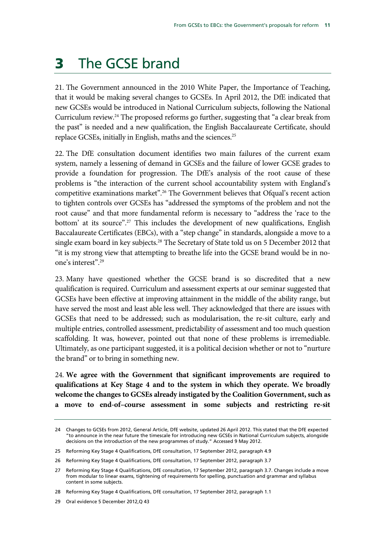### **3** The GCSE brand

21. The Government announced in the 2010 White Paper, the Importance of Teaching, that it would be making several changes to GCSEs. In April 2012, the DfE indicated that new GCSEs would be introduced in National Curriculum subjects, following the National Curriculum review.24 The proposed reforms go further, suggesting that "a clear break from the past" is needed and a new qualification, the English Baccalaureate Certificate, should replace GCSEs, initially in English, maths and the sciences.<sup>25</sup>

22. The DfE consultation document identifies two main failures of the current exam system, namely a lessening of demand in GCSEs and the failure of lower GCSE grades to provide a foundation for progression. The DfE's analysis of the root cause of these problems is "the interaction of the current school accountability system with England's competitive examinations market".26 The Government believes that Ofqual's recent action to tighten controls over GCSEs has "addressed the symptoms of the problem and not the root cause" and that more fundamental reform is necessary to "address the 'race to the bottom' at its source".<sup>27</sup> This includes the development of new qualifications, English Baccalaureate Certificates (EBCs), with a "step change" in standards, alongside a move to a single exam board in key subjects.<sup>28</sup> The Secretary of State told us on 5 December 2012 that "it is my strong view that attempting to breathe life into the GCSE brand would be in noone's interest".29

23. Many have questioned whether the GCSE brand is so discredited that a new qualification is required. Curriculum and assessment experts at our seminar suggested that GCSEs have been effective at improving attainment in the middle of the ability range, but have served the most and least able less well. They acknowledged that there are issues with GCSEs that need to be addressed; such as modularisation, the re-sit culture, early and multiple entries, controlled assessment, predictability of assessment and too much question scaffolding. It was, however, pointed out that none of these problems is irremediable. Ultimately, as one participant suggested, it is a political decision whether or not to "nurture the brand" or to bring in something new.

24. **We agree with the Government that significant improvements are required to qualifications at Key Stage 4 and to the system in which they operate. We broadly welcome the changes to GCSEs already instigated by the Coalition Government, such as a move to end-of–course assessment in some subjects and restricting re-sit** 

<sup>24</sup> Changes to GCSEs from 2012, General Article, DfE website, updated 26 April 2012. This stated that the DfE expected "to announce in the near future the timescale for introducing new GCSEs in National Curriculum subjects, alongside decisions on the introduction of the new programmes of study." Accessed 9 May 2012.

<sup>25</sup> Reforming Key Stage 4 Qualifications, DfE consultation, 17 September 2012, paragraph 4.9

<sup>26</sup> Reforming Key Stage 4 Qualifications, DfE consultation, 17 September 2012, paragraph 3.7

<sup>27</sup> Reforming Key Stage 4 Qualifications, DfE consultation, 17 September 2012, paragraph 3.7. Changes include a move from modular to linear exams, tightening of requirements for spelling, punctuation and grammar and syllabus content in some subjects.

<sup>28</sup> Reforming Key Stage 4 Qualifications, DfE consultation, 17 September 2012, paragraph 1.1

<sup>29</sup> Oral evidence 5 December 2012,Q 43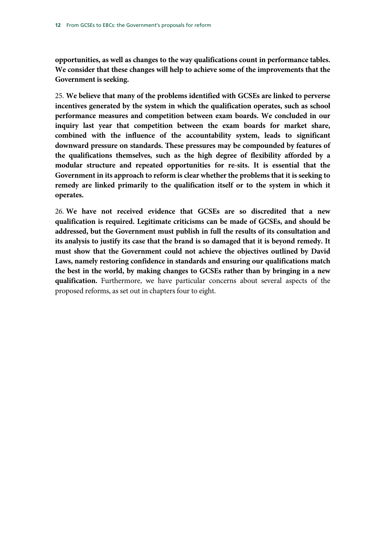**opportunities, as well as changes to the way qualifications count in performance tables. We consider that these changes will help to achieve some of the improvements that the Government is seeking.**

25. **We believe that many of the problems identified with GCSEs are linked to perverse incentives generated by the system in which the qualification operates, such as school performance measures and competition between exam boards. We concluded in our inquiry last year that competition between the exam boards for market share, combined with the influence of the accountability system, leads to significant downward pressure on standards. These pressures may be compounded by features of the qualifications themselves, such as the high degree of flexibility afforded by a modular structure and repeated opportunities for re-sits. It is essential that the Government in its approach to reform is clear whether the problems that it is seeking to remedy are linked primarily to the qualification itself or to the system in which it operates.** 

26. **We have not received evidence that GCSEs are so discredited that a new qualification is required. Legitimate criticisms can be made of GCSEs, and should be addressed, but the Government must publish in full the results of its consultation and its analysis to justify its case that the brand is so damaged that it is beyond remedy. It must show that the Government could not achieve the objectives outlined by David Laws, namely restoring confidence in standards and ensuring our qualifications match the best in the world, by making changes to GCSEs rather than by bringing in a new qualification.** Furthermore, we have particular concerns about several aspects of the proposed reforms, as set out in chapters four to eight.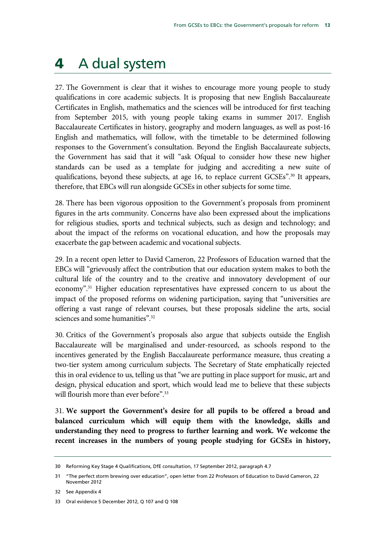### 4 A dual system

27. The Government is clear that it wishes to encourage more young people to study qualifications in core academic subjects. It is proposing that new English Baccalaureate Certificates in English, mathematics and the sciences will be introduced for first teaching from September 2015, with young people taking exams in summer 2017. English Baccalaureate Certificates in history, geography and modern languages, as well as post-16 English and mathematics, will follow, with the timetable to be determined following responses to the Government's consultation. Beyond the English Baccalaureate subjects, the Government has said that it will "ask Ofqual to consider how these new higher standards can be used as a template for judging and accrediting a new suite of qualifications, beyond these subjects, at age 16, to replace current GCSEs".30 It appears, therefore, that EBCs will run alongside GCSEs in other subjects for some time.

28. There has been vigorous opposition to the Government's proposals from prominent figures in the arts community. Concerns have also been expressed about the implications for religious studies, sports and technical subjects, such as design and technology; and about the impact of the reforms on vocational education, and how the proposals may exacerbate the gap between academic and vocational subjects.

29. In a recent open letter to David Cameron, 22 Professors of Education warned that the EBCs will "grievously affect the contribution that our education system makes to both the cultural life of the country and to the creative and innovatory development of our economy".31 Higher education representatives have expressed concern to us about the impact of the proposed reforms on widening participation, saying that "universities are offering a vast range of relevant courses, but these proposals sideline the arts, social sciences and some humanities".<sup>32</sup>

30. Critics of the Government's proposals also argue that subjects outside the English Baccalaureate will be marginalised and under-resourced, as schools respond to the incentives generated by the English Baccalaureate performance measure, thus creating a two-tier system among curriculum subjects. The Secretary of State emphatically rejected this in oral evidence to us, telling us that "we are putting in place support for music, art and design, physical education and sport, which would lead me to believe that these subjects will flourish more than ever before".<sup>33</sup>

31. **We support the Government's desire for all pupils to be offered a broad and balanced curriculum which will equip them with the knowledge, skills and understanding they need to progress to further learning and work. We welcome the recent increases in the numbers of young people studying for GCSEs in history,** 

<sup>30</sup> Reforming Key Stage 4 Qualifications, DfE consultation, 17 September 2012, paragraph 4.7

<sup>31 &</sup>quot;The perfect storm brewing over education", open letter from 22 Professors of Education to David Cameron, 22 November 2012

<sup>32</sup> See Appendix 4

<sup>33</sup> Oral evidence 5 December 2012, Q 107 and Q 108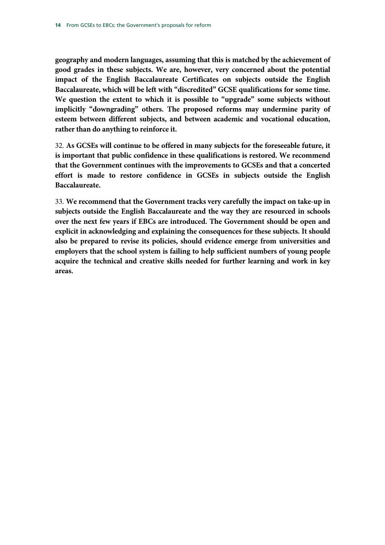**geography and modern languages, assuming that this is matched by the achievement of good grades in these subjects. We are, however, very concerned about the potential impact of the English Baccalaureate Certificates on subjects outside the English Baccalaureate, which will be left with "discredited" GCSE qualifications for some time. We question the extent to which it is possible to "upgrade" some subjects without implicitly "downgrading" others. The proposed reforms may undermine parity of esteem between different subjects, and between academic and vocational education, rather than do anything to reinforce it.**

32. **As GCSEs will continue to be offered in many subjects for the foreseeable future, it is important that public confidence in these qualifications is restored. We recommend that the Government continues with the improvements to GCSEs and that a concerted effort is made to restore confidence in GCSEs in subjects outside the English Baccalaureate.** 

33. **We recommend that the Government tracks very carefully the impact on take-up in subjects outside the English Baccalaureate and the way they are resourced in schools over the next few years if EBCs are introduced. The Government should be open and explicit in acknowledging and explaining the consequences for these subjects. It should also be prepared to revise its policies, should evidence emerge from universities and employers that the school system is failing to help sufficient numbers of young people acquire the technical and creative skills needed for further learning and work in key areas.**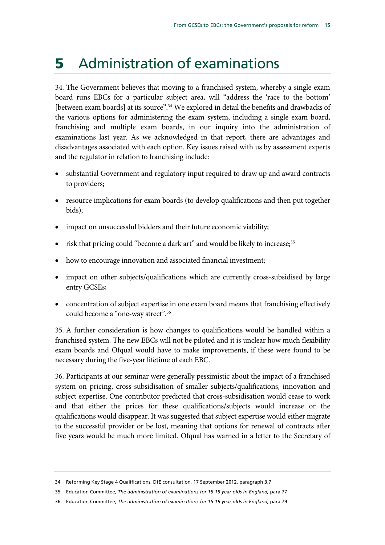## 5 Administration of examinations

34. The Government believes that moving to a franchised system, whereby a single exam board runs EBCs for a particular subject area, will "address the 'race to the bottom' [between exam boards] at its source".<sup>34</sup> We explored in detail the benefits and drawbacks of the various options for administering the exam system, including a single exam board, franchising and multiple exam boards, in our inquiry into the administration of examinations last year. As we acknowledged in that report, there are advantages and disadvantages associated with each option. Key issues raised with us by assessment experts and the regulator in relation to franchising include:

- substantial Government and regulatory input required to draw up and award contracts to providers;
- resource implications for exam boards (to develop qualifications and then put together bids);
- impact on unsuccessful bidders and their future economic viability;
- risk that pricing could "become a dark art" and would be likely to increase;<sup>35</sup>
- how to encourage innovation and associated financial investment;
- impact on other subjects/qualifications which are currently cross-subsidised by large entry GCSEs;
- concentration of subject expertise in one exam board means that franchising effectively could become a "one-way street".36

35. A further consideration is how changes to qualifications would be handled within a franchised system. The new EBCs will not be piloted and it is unclear how much flexibility exam boards and Ofqual would have to make improvements, if these were found to be necessary during the five-year lifetime of each EBC.

36. Participants at our seminar were generally pessimistic about the impact of a franchised system on pricing, cross-subsidisation of smaller subjects/qualifications, innovation and subject expertise. One contributor predicted that cross-subsidisation would cease to work and that either the prices for these qualifications/subjects would increase or the qualifications would disappear. It was suggested that subject expertise would either migrate to the successful provider or be lost, meaning that options for renewal of contracts after five years would be much more limited. Ofqual has warned in a letter to the Secretary of

<sup>34</sup> Reforming Key Stage 4 Qualifications, DfE consultation, 17 September 2012, paragraph 3.7

<sup>35</sup> Education Committee, *The administration of examinations for 15-19 year olds in England,* para 77

<sup>36</sup> Education Committee, *The administration of examinations for 15-19 year olds in England,* para 79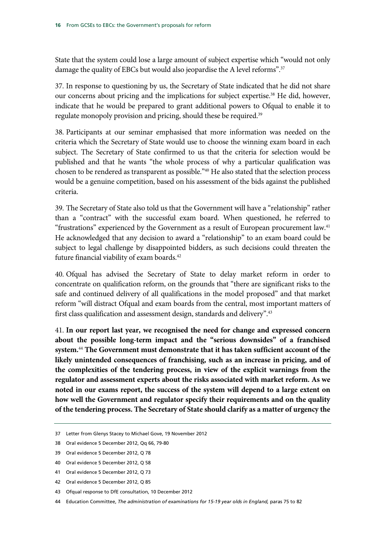State that the system could lose a large amount of subject expertise which "would not only damage the quality of EBCs but would also jeopardise the A level reforms".<sup>37</sup>

37. In response to questioning by us, the Secretary of State indicated that he did not share our concerns about pricing and the implications for subject expertise.<sup>38</sup> He did, however, indicate that he would be prepared to grant additional powers to Ofqual to enable it to regulate monopoly provision and pricing, should these be required.<sup>39</sup>

38. Participants at our seminar emphasised that more information was needed on the criteria which the Secretary of State would use to choose the winning exam board in each subject. The Secretary of State confirmed to us that the criteria for selection would be published and that he wants "the whole process of why a particular qualification was chosen to be rendered as transparent as possible."40 He also stated that the selection process would be a genuine competition, based on his assessment of the bids against the published criteria.

39. The Secretary of State also told us that the Government will have a "relationship" rather than a "contract" with the successful exam board. When questioned, he referred to "frustrations" experienced by the Government as a result of European procurement law.41 He acknowledged that any decision to award a "relationship" to an exam board could be subject to legal challenge by disappointed bidders, as such decisions could threaten the future financial viability of exam boards.<sup>42</sup>

40. Ofqual has advised the Secretary of State to delay market reform in order to concentrate on qualification reform, on the grounds that "there are significant risks to the safe and continued delivery of all qualifications in the model proposed" and that market reform "will distract Ofqual and exam boards from the central, most important matters of first class qualification and assessment design, standards and delivery".<sup>43</sup>

41. **In our report last year, we recognised the need for change and expressed concern about the possible long-term impact and the "serious downsides" of a franchised system.**<sup>44</sup> **The Government must demonstrate that it has taken sufficient account of the likely unintended consequences of franchising, such as an increase in pricing, and of the complexities of the tendering process, in view of the explicit warnings from the regulator and assessment experts about the risks associated with market reform. As we noted in our exams report, the success of the system will depend to a large extent on how well the Government and regulator specify their requirements and on the quality of the tendering process. The Secretary of State should clarify as a matter of urgency the** 

39 Oral evidence 5 December 2012, Q 78

<sup>37</sup> Letter from Glenys Stacey to Michael Gove, 19 November 2012

<sup>38</sup> Oral evidence 5 December 2012, Qq 66, 79-80

<sup>40</sup> Oral evidence 5 December 2012, Q 58

<sup>41</sup> Oral evidence 5 December 2012, Q 73

<sup>42</sup> Oral evidence 5 December 2012, Q 85

<sup>43</sup> Ofqual response to DfE consultation, 10 December 2012

<sup>44</sup> Education Committee, *The administration of examinations for 15-19 year olds in England,* paras 75 to 82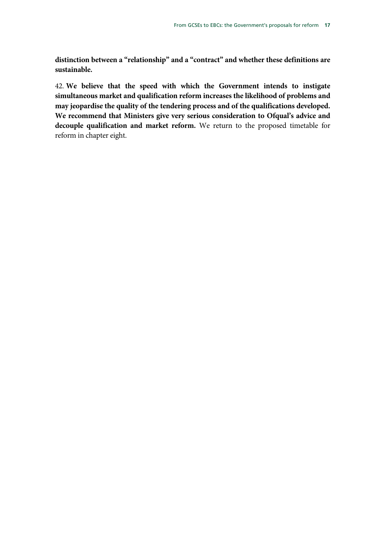**distinction between a "relationship" and a "contract" and whether these definitions are sustainable.** 

42. **We believe that the speed with which the Government intends to instigate simultaneous market and qualification reform increases the likelihood of problems and may jeopardise the quality of the tendering process and of the qualifications developed. We recommend that Ministers give very serious consideration to Ofqual's advice and decouple qualification and market reform.** We return to the proposed timetable for reform in chapter eight.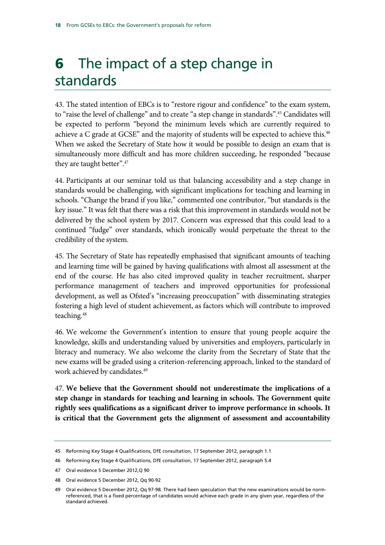# **6** The impact of a step change in standards

43. The stated intention of EBCs is to "restore rigour and confidence" to the exam system, to "raise the level of challenge" and to create "a step change in standards".45 Candidates will be expected to perform "beyond the minimum levels which are currently required to achieve a C grade at GCSE" and the majority of students will be expected to achieve this.<sup>46</sup> When we asked the Secretary of State how it would be possible to design an exam that is simultaneously more difficult and has more children succeeding, he responded "because they are taught better".<sup>47</sup>

44. Participants at our seminar told us that balancing accessibility and a step change in standards would be challenging, with significant implications for teaching and learning in schools. "Change the brand if you like," commented one contributor, "but standards is the key issue." It was felt that there was a risk that this improvement in standards would not be delivered by the school system by 2017. Concern was expressed that this could lead to a continued "fudge" over standards, which ironically would perpetuate the threat to the credibility of the system.

45. The Secretary of State has repeatedly emphasised that significant amounts of teaching and learning time will be gained by having qualifications with almost all assessment at the end of the course. He has also cited improved quality in teacher recruitment, sharper performance management of teachers and improved opportunities for professional development, as well as Ofsted's "increasing preoccupation" with disseminating strategies fostering a high level of student achievement, as factors which will contribute to improved teaching.48

46. We welcome the Government's intention to ensure that young people acquire the knowledge, skills and understanding valued by universities and employers, particularly in literacy and numeracy. We also welcome the clarity from the Secretary of State that the new exams will be graded using a criterion-referencing approach, linked to the standard of work achieved by candidates.<sup>49</sup>

47. **We believe that the Government should not underestimate the implications of a step change in standards for teaching and learning in schools. The Government quite rightly sees qualifications as a significant driver to improve performance in schools. It is critical that the Government gets the alignment of assessment and accountability** 

<sup>45</sup> Reforming Key Stage 4 Qualifications, DfE consultation, 17 September 2012, paragraph 1.1

<sup>46</sup> Reforming Key Stage 4 Qualifications, DfE consultation, 17 September 2012, paragraph 5.4

<sup>47</sup> Oral evidence 5 December 2012,Q 90

<sup>48</sup> Oral evidence 5 December 2012, Qq 90-92

<sup>49</sup> Oral evidence 5 December 2012, Qq 97-98. There had been speculation that the new examinations would be normreferenced, that is a fixed percentage of candidates would achieve each grade in any given year, regardless of the standard achieved.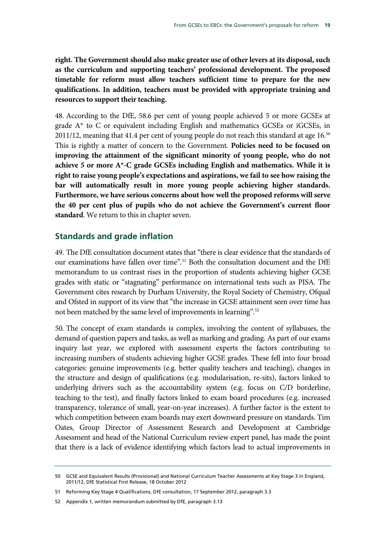**right. The Government should also make greater use of other levers at its disposal, such as the curriculum and supporting teachers' professional development. The proposed timetable for reform must allow teachers sufficient time to prepare for the new qualifications. In addition, teachers must be provided with appropriate training and resources to support their teaching.** 

48. According to the DfE, 58.6 per cent of young people achieved 5 or more GCSEs at grade A\* to C or equivalent including English and mathematics GCSEs or iGCSEs, in 2011/12, meaning that 41.4 per cent of young people do not reach this standard at age 16.<sup>50</sup> This is rightly a matter of concern to the Government. **Policies need to be focused on improving the attainment of the significant minority of young people, who do not achieve 5 or more A\*-C grade GCSEs including English and mathematics. While it is right to raise young people's expectations and aspirations, we fail to see how raising the bar will automatically result in more young people achieving higher standards. Furthermore, we have serious concerns about how well the proposed reforms will serve the 40 per cent plus of pupils who do not achieve the Government's current floor standard**. We return to this in chapter seven.

### **Standards and grade inflation**

49. The DfE consultation document states that "there is clear evidence that the standards of our examinations have fallen over time".<sup>51</sup> Both the consultation document and the DfE memorandum to us contrast rises in the proportion of students achieving higher GCSE grades with static or "stagnating" performance on international tests such as PISA. The Government cites research by Durham University, the Royal Society of Chemistry, Ofqual and Ofsted in support of its view that "the increase in GCSE attainment seen over time has not been matched by the same level of improvements in learning".<sup>52</sup>

50. The concept of exam standards is complex, involving the content of syllabuses, the demand of question papers and tasks, as well as marking and grading. As part of our exams inquiry last year, we explored with assessment experts the factors contributing to increasing numbers of students achieving higher GCSE grades. These fell into four broad categories: genuine improvements (e.g. better quality teachers and teaching), changes in the structure and design of qualifications (e.g. modularisation, re-sits), factors linked to underlying drivers such as the accountability system (e.g. focus on C/D borderline, teaching to the test), and finally factors linked to exam board procedures (e.g. increased transparency, tolerance of small, year-on-year increases). A further factor is the extent to which competition between exam boards may exert downward pressure on standards. Tim Oates, Group Director of Assessment Research and Development at Cambridge Assessment and head of the National Curriculum review expert panel, has made the point that there is a lack of evidence identifying which factors lead to actual improvements in

52 Appendix 1, written memorandum submitted by DfE, paragraph 3.13

<sup>50</sup> GCSE and Equivalent Results (Provisional) and National Curriculum Teacher Assessments at Key Stage 3 in England, 2011/12, DfE Statistical First Release, 18 October 2012

<sup>51</sup> Reforming Key Stage 4 Qualifications, DfE consultation, 17 September 2012, paragraph 3.3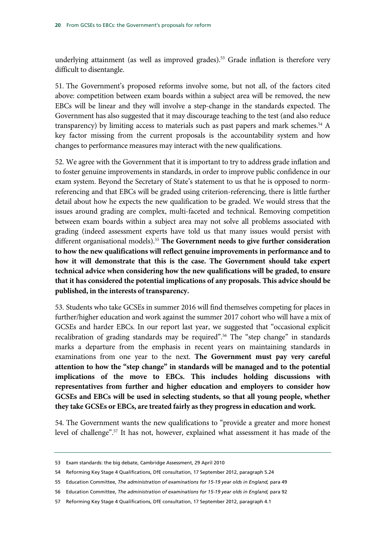underlying attainment (as well as improved grades).<sup>53</sup> Grade inflation is therefore very difficult to disentangle.

51. The Government's proposed reforms involve some, but not all, of the factors cited above: competition between exam boards within a subject area will be removed, the new EBCs will be linear and they will involve a step-change in the standards expected. The Government has also suggested that it may discourage teaching to the test (and also reduce transparency) by limiting access to materials such as past papers and mark schemes. $54$  A key factor missing from the current proposals is the accountability system and how changes to performance measures may interact with the new qualifications.

52. We agree with the Government that it is important to try to address grade inflation and to foster genuine improvements in standards, in order to improve public confidence in our exam system. Beyond the Secretary of State's statement to us that he is opposed to normreferencing and that EBCs will be graded using criterion-referencing, there is little further detail about how he expects the new qualification to be graded. We would stress that the issues around grading are complex, multi-faceted and technical. Removing competition between exam boards within a subject area may not solve all problems associated with grading (indeed assessment experts have told us that many issues would persist with different organisational models).<sup>55</sup> The Government needs to give further consideration **to how the new qualifications will reflect genuine improvements in performance and to how it will demonstrate that this is the case. The Government should take expert technical advice when considering how the new qualifications will be graded, to ensure that it has considered the potential implications of any proposals. This advice should be published, in the interests of transparency.**

53. Students who take GCSEs in summer 2016 will find themselves competing for places in further/higher education and work against the summer 2017 cohort who will have a mix of GCSEs and harder EBCs. In our report last year, we suggested that "occasional explicit recalibration of grading standards may be required".56 The "step change" in standards marks a departure from the emphasis in recent years on maintaining standards in examinations from one year to the next. **The Government must pay very careful attention to how the "step change" in standards will be managed and to the potential implications of the move to EBCs. This includes holding discussions with representatives from further and higher education and employers to consider how GCSEs and EBCs will be used in selecting students, so that all young people, whether they take GCSEs or EBCs, are treated fairly as they progress in education and work.** 

54. The Government wants the new qualifications to "provide a greater and more honest level of challenge".57 It has not, however, explained what assessment it has made of the

<sup>53</sup> Exam standards: the big debate, Cambridge Assessment, 29 April 2010

<sup>54</sup> Reforming Key Stage 4 Qualifications, DfE consultation, 17 September 2012, paragraph 5.24

<sup>55</sup> Education Committee, *The administration of examinations for 15-19 year olds in England,* para 49

<sup>56</sup> Education Committee, *The administration of examinations for 15-19 year olds in England,* para 92

<sup>57</sup> Reforming Key Stage 4 Qualifications, DfE consultation, 17 September 2012, paragraph 4.1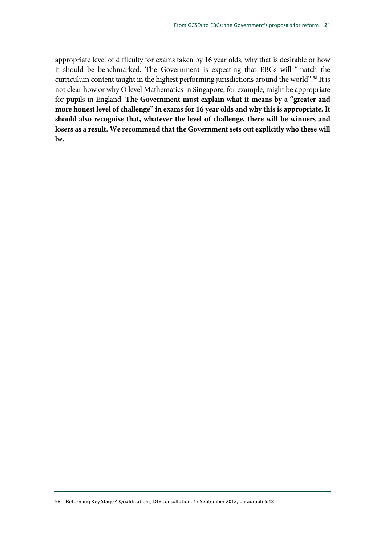appropriate level of difficulty for exams taken by 16 year olds, why that is desirable or how it should be benchmarked. The Government is expecting that EBCs will "match the curriculum content taught in the highest performing jurisdictions around the world".<sup>58</sup> It is not clear how or why O level Mathematics in Singapore, for example, might be appropriate for pupils in England. **The Government must explain what it means by a "greater and more honest level of challenge" in exams for 16 year olds and why this is appropriate. It should also recognise that, whatever the level of challenge, there will be winners and losers as a result. We recommend that the Government sets out explicitly who these will be.**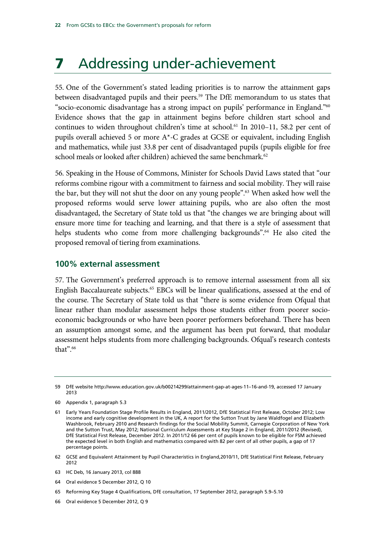### **7** Addressing under-achievement

55. One of the Government's stated leading priorities is to narrow the attainment gaps between disadvantaged pupils and their peers.<sup>59</sup> The DfE memorandum to us states that "socio-economic disadvantage has a strong impact on pupils' performance in England."60 Evidence shows that the gap in attainment begins before children start school and continues to widen throughout children's time at school.<sup>61</sup> In 2010–11, 58.2 per cent of pupils overall achieved 5 or more A\*-C grades at GCSE or equivalent, including English and mathematics, while just 33.8 per cent of disadvantaged pupils (pupils eligible for free school meals or looked after children) achieved the same benchmark.<sup>62</sup>

56. Speaking in the House of Commons, Minister for Schools David Laws stated that "our reforms combine rigour with a commitment to fairness and social mobility. They will raise the bar, but they will not shut the door on any young people".<sup>63</sup> When asked how well the proposed reforms would serve lower attaining pupils, who are also often the most disadvantaged, the Secretary of State told us that "the changes we are bringing about will ensure more time for teaching and learning, and that there is a style of assessment that helps students who come from more challenging backgrounds".<sup>64</sup> He also cited the proposed removal of tiering from examinations.

#### **100% external assessment**

57. The Government's preferred approach is to remove internal assessment from all six English Baccalaureate subjects.65 EBCs will be linear qualifications, assessed at the end of the course. The Secretary of State told us that "there is some evidence from Ofqual that linear rather than modular assessment helps those students either from poorer socioeconomic backgrounds or who have been poorer performers beforehand. There has been an assumption amongst some, and the argument has been put forward, that modular assessment helps students from more challenging backgrounds. Ofqual's research contests that".<sup>66</sup>

- 62 GCSE and Equivalent Attainment by Pupil Characteristics in England,2010/11, DfE Statistical First Release, February 2012
- 63 HC Deb, 16 January 2013, col 888
- 64 Oral evidence 5 December 2012, Q 10
- 65 Reforming Key Stage 4 Qualifications, DfE consultation, 17 September 2012, paragraph 5.9–5.10
- 66 Oral evidence 5 December 2012, Q 9

<sup>59</sup> DfE website http://www.education.gov.uk/b00214299/attainment-gap-at-ages-11–16-and-19, accessed 17 January 2013

<sup>60</sup> Appendix 1, paragraph 5.3

<sup>61</sup> Early Years Foundation Stage Profile Results in England, 2011/2012, DfE Statistical First Release, October 2012; Low income and early cognitive development in the UK, A report for the Sutton Trust by Jane Waldfogel and Elizabeth Washbrook, February 2010 and Research findings for the Social Mobility Summit, Carnegie Corporation of New York and the Sutton Trust, May 2012; National Curriculum Assessments at Key Stage 2 in England, 2011/2012 (Revised), DfE Statistical First Release, December 2012. In 2011/12 66 per cent of pupils known to be eligible for FSM achieved the expected level in both English and mathematics compared with 82 per cent of all other pupils, a gap of 17 percentage points.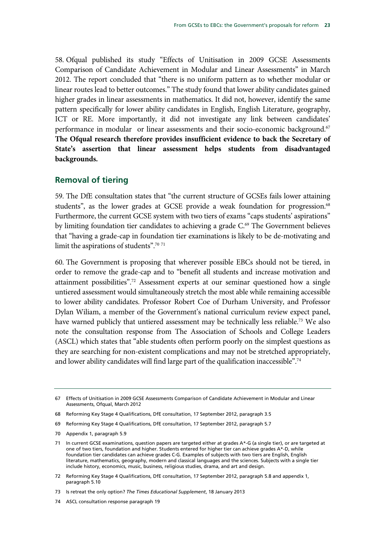58. Ofqual published its study "Effects of Unitisation in 2009 GCSE Assessments Comparison of Candidate Achievement in Modular and Linear Assessments" in March 2012. The report concluded that "there is no uniform pattern as to whether modular or linear routes lead to better outcomes." The study found that lower ability candidates gained higher grades in linear assessments in mathematics. It did not, however, identify the same pattern specifically for lower ability candidates in English, English Literature, geography, ICT or RE. More importantly, it did not investigate any link between candidates' performance in modular or linear assessments and their socio-economic background.67 **The Ofqual research therefore provides insufficient evidence to back the Secretary of State's assertion that linear assessment helps students from disadvantaged backgrounds.** 

### **Removal of tiering**

59. The DfE consultation states that "the current structure of GCSEs fails lower attaining students", as the lower grades at GCSE provide a weak foundation for progression.<sup>68</sup> Furthermore, the current GCSE system with two tiers of exams "caps students' aspirations" by limiting foundation tier candidates to achieving a grade C.<sup>69</sup> The Government believes that "having a grade-cap in foundation tier examinations is likely to be de-motivating and limit the aspirations of students".70 <sup>71</sup>

60. The Government is proposing that wherever possible EBCs should not be tiered, in order to remove the grade-cap and to "benefit all students and increase motivation and attainment possibilities".72 Assessment experts at our seminar questioned how a single untiered assessment would simultaneously stretch the most able while remaining accessible to lower ability candidates. Professor Robert Coe of Durham University, and Professor Dylan Wiliam, a member of the Government's national curriculum review expect panel, have warned publicly that untiered assessment may be technically less reliable.<sup>73</sup> We also note the consultation response from The Association of Schools and College Leaders (ASCL) which states that "able students often perform poorly on the simplest questions as they are searching for non-existent complications and may not be stretched appropriately, and lower ability candidates will find large part of the qualification inaccessible".74

<sup>67</sup> Effects of Unitisation in 2009 GCSE Assessments Comparison of Candidate Achievement in Modular and Linear Assessments, Ofqual, March 2012

<sup>68</sup> Reforming Key Stage 4 Qualifications, DfE consultation, 17 September 2012, paragraph 3.5

<sup>69</sup> Reforming Key Stage 4 Qualifications, DfE consultation, 17 September 2012, paragraph 5.7

<sup>70</sup> Appendix 1, paragraph 5.9

<sup>71</sup> In current GCSE examinations, question papers are targeted either at grades A\*-G (a single tier), or are targeted at one of two tiers, foundation and higher. Students entered for higher tier can achieve grades A\*-D, while foundation tier candidates can achieve grades C-G. Examples of subjects with two tiers are English, English literature, mathematics, geography, modern and classical languages and the sciences. Subjects with a single tier include history, economics, music, business, religious studies, drama, and art and design.

<sup>72</sup> Reforming Key Stage 4 Qualifications, DfE consultation, 17 September 2012, paragraph 5.8 and appendix 1, paragraph 5.10

<sup>73</sup> Is retreat the only option? *The Times Educational Supplement*, 18 January 2013

<sup>74</sup> ASCL consultation response paragraph 19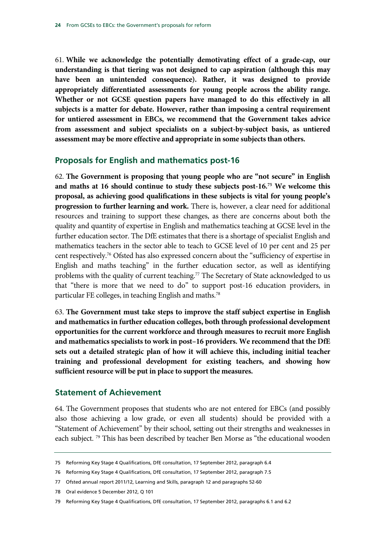61. **While we acknowledge the potentially demotivating effect of a grade-cap, our understanding is that tiering was not designed to cap aspiration (although this may have been an unintended consequence). Rather, it was designed to provide appropriately differentiated assessments for young people across the ability range. Whether or not GCSE question papers have managed to do this effectively in all subjects is a matter for debate. However, rather than imposing a central requirement for untiered assessment in EBCs, we recommend that the Government takes advice from assessment and subject specialists on a subject-by-subject basis, as untiered assessment may be more effective and appropriate in some subjects than others.** 

#### **Proposals for English and mathematics post-16**

62. **The Government is proposing that young people who are "not secure" in English and maths at 16 should continue to study these subjects post-16.75 We welcome this proposal, as achieving good qualifications in these subjects is vital for young people's progression to further learning and work.** There is, however, a clear need for additional resources and training to support these changes, as there are concerns about both the quality and quantity of expertise in English and mathematics teaching at GCSE level in the further education sector. The DfE estimates that there is a shortage of specialist English and mathematics teachers in the sector able to teach to GCSE level of 10 per cent and 25 per cent respectively.76 Ofsted has also expressed concern about the "sufficiency of expertise in English and maths teaching" in the further education sector, as well as identifying problems with the quality of current teaching.<sup>77</sup> The Secretary of State acknowledged to us that "there is more that we need to do" to support post-16 education providers, in particular FE colleges, in teaching English and maths.78

63. **The Government must take steps to improve the staff subject expertise in English and mathematics in further education colleges, both through professional development opportunities for the current workforce and through measures to recruit more English and mathematics specialists to work in post–16 providers. We recommend that the DfE sets out a detailed strategic plan of how it will achieve this, including initial teacher training and professional development for existing teachers, and showing how sufficient resource will be put in place to support the measures.** 

#### **Statement of Achievement**

64. The Government proposes that students who are not entered for EBCs (and possibly also those achieving a low grade, or even all students) should be provided with a "Statement of Achievement" by their school, setting out their strengths and weaknesses in each subject.<sup>79</sup> This has been described by teacher Ben Morse as "the educational wooden

<sup>75</sup> Reforming Key Stage 4 Qualifications, DfE consultation, 17 September 2012, paragraph 6.4

<sup>76</sup> Reforming Key Stage 4 Qualifications, DfE consultation, 17 September 2012, paragraph 7.5

<sup>77</sup> Ofsted annual report 2011/12, Learning and Skills, paragraph 12 and paragraphs 52-60

<sup>78</sup> Oral evidence 5 December 2012, Q 101

<sup>79</sup> Reforming Key Stage 4 Qualifications, DfE consultation, 17 September 2012, paragraphs 6.1 and 6.2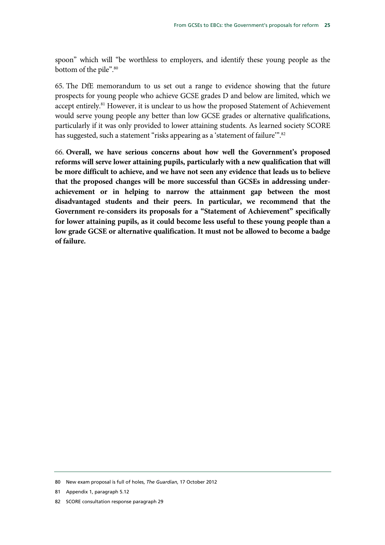spoon" which will "be worthless to employers, and identify these young people as the bottom of the pile".<sup>80</sup>

65. The DfE memorandum to us set out a range to evidence showing that the future prospects for young people who achieve GCSE grades D and below are limited, which we accept entirely.81 However, it is unclear to us how the proposed Statement of Achievement would serve young people any better than low GCSE grades or alternative qualifications, particularly if it was only provided to lower attaining students. As learned society SCORE has suggested, such a statement "risks appearing as a 'statement of failure".<sup>82</sup>

66. **Overall, we have serious concerns about how well the Government's proposed reforms will serve lower attaining pupils, particularly with a new qualification that will be more difficult to achieve, and we have not seen any evidence that leads us to believe that the proposed changes will be more successful than GCSEs in addressing underachievement or in helping to narrow the attainment gap between the most disadvantaged students and their peers. In particular, we recommend that the Government re-considers its proposals for a "Statement of Achievement" specifically for lower attaining pupils, as it could become less useful to these young people than a low grade GCSE or alternative qualification. It must not be allowed to become a badge of failure.**

- 81 Appendix 1, paragraph 5.12
- 82 SCORE consultation response paragraph 29

<sup>80</sup> New exam proposal is full of holes, *The Guardian*, 17 October 2012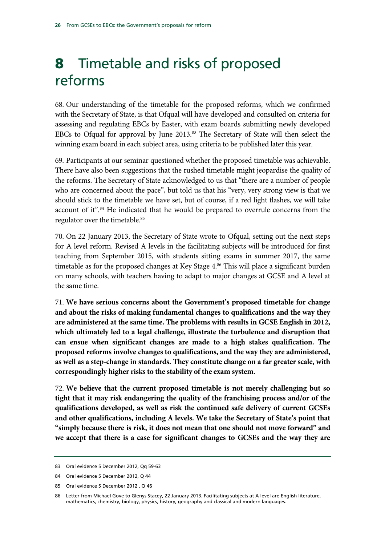# 8 Timetable and risks of proposed reforms

68. Our understanding of the timetable for the proposed reforms, which we confirmed with the Secretary of State, is that Ofqual will have developed and consulted on criteria for assessing and regulating EBCs by Easter, with exam boards submitting newly developed EBCs to Ofqual for approval by June 2013.<sup>83</sup> The Secretary of State will then select the winning exam board in each subject area, using criteria to be published later this year.

69. Participants at our seminar questioned whether the proposed timetable was achievable. There have also been suggestions that the rushed timetable might jeopardise the quality of the reforms. The Secretary of State acknowledged to us that "there are a number of people who are concerned about the pace", but told us that his "very, very strong view is that we should stick to the timetable we have set, but of course, if a red light flashes, we will take account of it".<sup>84</sup> He indicated that he would be prepared to overrule concerns from the regulator over the timetable.<sup>85</sup>

70. On 22 January 2013, the Secretary of State wrote to Ofqual, setting out the next steps for A level reform. Revised A levels in the facilitating subjects will be introduced for first teaching from September 2015, with students sitting exams in summer 2017, the same timetable as for the proposed changes at Key Stage 4.<sup>86</sup> This will place a significant burden on many schools, with teachers having to adapt to major changes at GCSE and A level at the same time.

71. **We have serious concerns about the Government's proposed timetable for change and about the risks of making fundamental changes to qualifications and the way they are administered at the same time. The problems with results in GCSE English in 2012, which ultimately led to a legal challenge, illustrate the turbulence and disruption that can ensue when significant changes are made to a high stakes qualification. The proposed reforms involve changes to qualifications, and the way they are administered, as well as a step-change in standards. They constitute change on a far greater scale, with correspondingly higher risks to the stability of the exam system.** 

72. **We believe that the current proposed timetable is not merely challenging but so tight that it may risk endangering the quality of the franchising process and/or of the qualifications developed, as well as risk the continued safe delivery of current GCSEs and other qualifications, including A levels. We take the Secretary of State's point that "simply because there is risk, it does not mean that one should not move forward" and we accept that there is a case for significant changes to GCSEs and the way they are** 

<sup>83</sup> Oral evidence 5 December 2012, Qq 59-63

<sup>84</sup> Oral evidence 5 December 2012, Q 44

<sup>85</sup> Oral evidence 5 December 2012 , Q 46

<sup>86</sup> Letter from Michael Gove to Glenys Stacey, 22 January 2013. Facilitating subjects at A level are English literature, mathematics, chemistry, biology, physics, history, geography and classical and modern languages.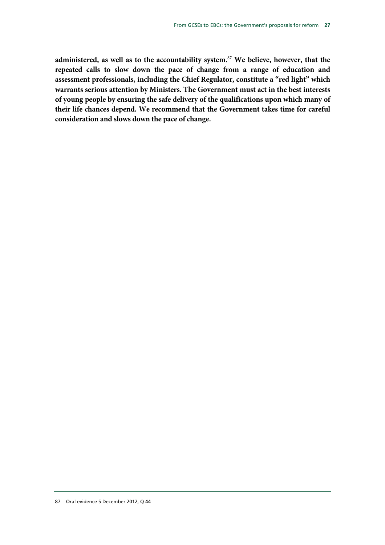**administered, as well as to the accountability system.**<sup>87</sup> **We believe, however, that the repeated calls to slow down the pace of change from a range of education and assessment professionals, including the Chief Regulator, constitute a "red light" which warrants serious attention by Ministers. The Government must act in the best interests of young people by ensuring the safe delivery of the qualifications upon which many of their life chances depend. We recommend that the Government takes time for careful consideration and slows down the pace of change.**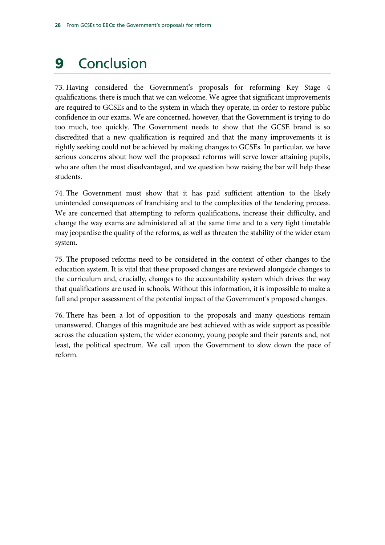# 9 Conclusion

73. Having considered the Government's proposals for reforming Key Stage 4 qualifications, there is much that we can welcome. We agree that significant improvements are required to GCSEs and to the system in which they operate, in order to restore public confidence in our exams. We are concerned, however, that the Government is trying to do too much, too quickly. The Government needs to show that the GCSE brand is so discredited that a new qualification is required and that the many improvements it is rightly seeking could not be achieved by making changes to GCSEs. In particular, we have serious concerns about how well the proposed reforms will serve lower attaining pupils, who are often the most disadvantaged, and we question how raising the bar will help these students.

74. The Government must show that it has paid sufficient attention to the likely unintended consequences of franchising and to the complexities of the tendering process. We are concerned that attempting to reform qualifications, increase their difficulty, and change the way exams are administered all at the same time and to a very tight timetable may jeopardise the quality of the reforms, as well as threaten the stability of the wider exam system.

75. The proposed reforms need to be considered in the context of other changes to the education system. It is vital that these proposed changes are reviewed alongside changes to the curriculum and, crucially, changes to the accountability system which drives the way that qualifications are used in schools. Without this information, it is impossible to make a full and proper assessment of the potential impact of the Government's proposed changes.

76. There has been a lot of opposition to the proposals and many questions remain unanswered. Changes of this magnitude are best achieved with as wide support as possible across the education system, the wider economy, young people and their parents and, not least, the political spectrum. We call upon the Government to slow down the pace of reform.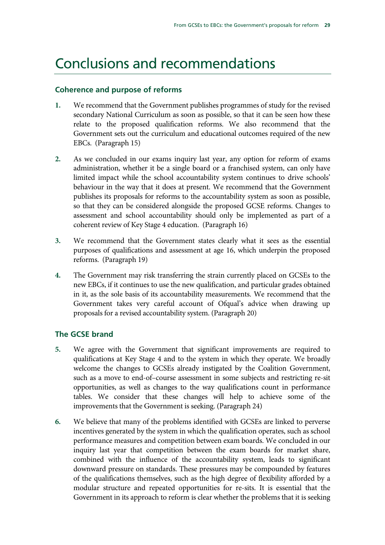### Conclusions and recommendations

#### **Coherence and purpose of reforms**

- **1.** We recommend that the Government publishes programmes of study for the revised secondary National Curriculum as soon as possible, so that it can be seen how these relate to the proposed qualification reforms. We also recommend that the Government sets out the curriculum and educational outcomes required of the new EBCs. (Paragraph 15)
- **2.** As we concluded in our exams inquiry last year, any option for reform of exams administration, whether it be a single board or a franchised system, can only have limited impact while the school accountability system continues to drive schools' behaviour in the way that it does at present. We recommend that the Government publishes its proposals for reforms to the accountability system as soon as possible, so that they can be considered alongside the proposed GCSE reforms. Changes to assessment and school accountability should only be implemented as part of a coherent review of Key Stage 4 education. (Paragraph 16)
- **3.** We recommend that the Government states clearly what it sees as the essential purposes of qualifications and assessment at age 16, which underpin the proposed reforms. (Paragraph 19)
- **4.** The Government may risk transferring the strain currently placed on GCSEs to the new EBCs, if it continues to use the new qualification, and particular grades obtained in it, as the sole basis of its accountability measurements. We recommend that the Government takes very careful account of Ofqual's advice when drawing up proposals for a revised accountability system. (Paragraph 20)

### **The GCSE brand**

- **5.** We agree with the Government that significant improvements are required to qualifications at Key Stage 4 and to the system in which they operate. We broadly welcome the changes to GCSEs already instigated by the Coalition Government, such as a move to end-of–course assessment in some subjects and restricting re-sit opportunities, as well as changes to the way qualifications count in performance tables. We consider that these changes will help to achieve some of the improvements that the Government is seeking. (Paragraph 24)
- **6.** We believe that many of the problems identified with GCSEs are linked to perverse incentives generated by the system in which the qualification operates, such as school performance measures and competition between exam boards. We concluded in our inquiry last year that competition between the exam boards for market share, combined with the influence of the accountability system, leads to significant downward pressure on standards. These pressures may be compounded by features of the qualifications themselves, such as the high degree of flexibility afforded by a modular structure and repeated opportunities for re-sits. It is essential that the Government in its approach to reform is clear whether the problems that it is seeking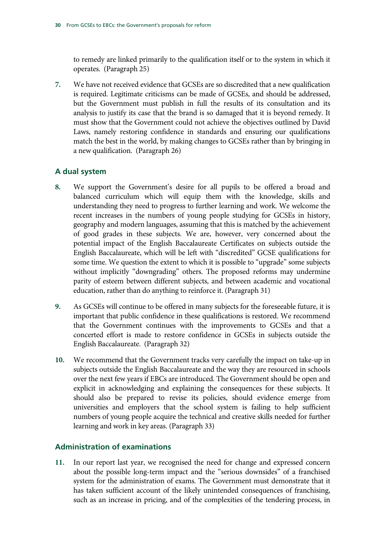to remedy are linked primarily to the qualification itself or to the system in which it operates. (Paragraph 25)

**7.** We have not received evidence that GCSEs are so discredited that a new qualification is required. Legitimate criticisms can be made of GCSEs, and should be addressed, but the Government must publish in full the results of its consultation and its analysis to justify its case that the brand is so damaged that it is beyond remedy. It must show that the Government could not achieve the objectives outlined by David Laws, namely restoring confidence in standards and ensuring our qualifications match the best in the world, by making changes to GCSEs rather than by bringing in a new qualification. (Paragraph 26)

### **A dual system**

- **8.** We support the Government's desire for all pupils to be offered a broad and balanced curriculum which will equip them with the knowledge, skills and understanding they need to progress to further learning and work. We welcome the recent increases in the numbers of young people studying for GCSEs in history, geography and modern languages, assuming that this is matched by the achievement of good grades in these subjects. We are, however, very concerned about the potential impact of the English Baccalaureate Certificates on subjects outside the English Baccalaureate, which will be left with "discredited" GCSE qualifications for some time. We question the extent to which it is possible to "upgrade" some subjects without implicitly "downgrading" others. The proposed reforms may undermine parity of esteem between different subjects, and between academic and vocational education, rather than do anything to reinforce it. (Paragraph 31)
- **9.** As GCSEs will continue to be offered in many subjects for the foreseeable future, it is important that public confidence in these qualifications is restored. We recommend that the Government continues with the improvements to GCSEs and that a concerted effort is made to restore confidence in GCSEs in subjects outside the English Baccalaureate. (Paragraph 32)
- **10.** We recommend that the Government tracks very carefully the impact on take-up in subjects outside the English Baccalaureate and the way they are resourced in schools over the next few years if EBCs are introduced. The Government should be open and explicit in acknowledging and explaining the consequences for these subjects. It should also be prepared to revise its policies, should evidence emerge from universities and employers that the school system is failing to help sufficient numbers of young people acquire the technical and creative skills needed for further learning and work in key areas. (Paragraph 33)

### **Administration of examinations**

**11.** In our report last year, we recognised the need for change and expressed concern about the possible long-term impact and the "serious downsides" of a franchised system for the administration of exams. The Government must demonstrate that it has taken sufficient account of the likely unintended consequences of franchising, such as an increase in pricing, and of the complexities of the tendering process, in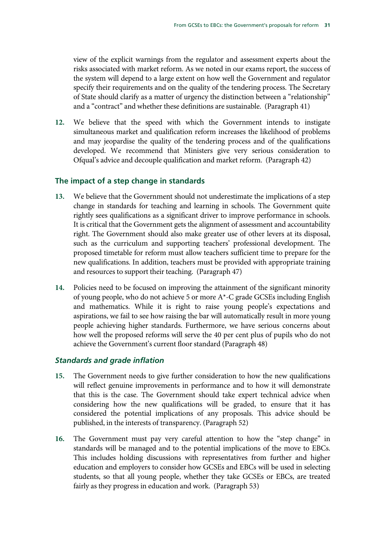view of the explicit warnings from the regulator and assessment experts about the risks associated with market reform. As we noted in our exams report, the success of the system will depend to a large extent on how well the Government and regulator specify their requirements and on the quality of the tendering process. The Secretary of State should clarify as a matter of urgency the distinction between a "relationship" and a "contract" and whether these definitions are sustainable. (Paragraph 41)

**12.** We believe that the speed with which the Government intends to instigate simultaneous market and qualification reform increases the likelihood of problems and may jeopardise the quality of the tendering process and of the qualifications developed. We recommend that Ministers give very serious consideration to Ofqual's advice and decouple qualification and market reform. (Paragraph 42)

#### **The impact of a step change in standards**

- **13.** We believe that the Government should not underestimate the implications of a step change in standards for teaching and learning in schools. The Government quite rightly sees qualifications as a significant driver to improve performance in schools. It is critical that the Government gets the alignment of assessment and accountability right. The Government should also make greater use of other levers at its disposal, such as the curriculum and supporting teachers' professional development. The proposed timetable for reform must allow teachers sufficient time to prepare for the new qualifications. In addition, teachers must be provided with appropriate training and resources to support their teaching. (Paragraph 47)
- **14.** Policies need to be focused on improving the attainment of the significant minority of young people, who do not achieve 5 or more A\*-C grade GCSEs including English and mathematics. While it is right to raise young people's expectations and aspirations, we fail to see how raising the bar will automatically result in more young people achieving higher standards. Furthermore, we have serious concerns about how well the proposed reforms will serve the 40 per cent plus of pupils who do not achieve the Government's current floor standard (Paragraph 48)

### *Standards and grade inflation*

- **15.** The Government needs to give further consideration to how the new qualifications will reflect genuine improvements in performance and to how it will demonstrate that this is the case. The Government should take expert technical advice when considering how the new qualifications will be graded, to ensure that it has considered the potential implications of any proposals. This advice should be published, in the interests of transparency. (Paragraph 52)
- **16.** The Government must pay very careful attention to how the "step change" in standards will be managed and to the potential implications of the move to EBCs. This includes holding discussions with representatives from further and higher education and employers to consider how GCSEs and EBCs will be used in selecting students, so that all young people, whether they take GCSEs or EBCs, are treated fairly as they progress in education and work. (Paragraph 53)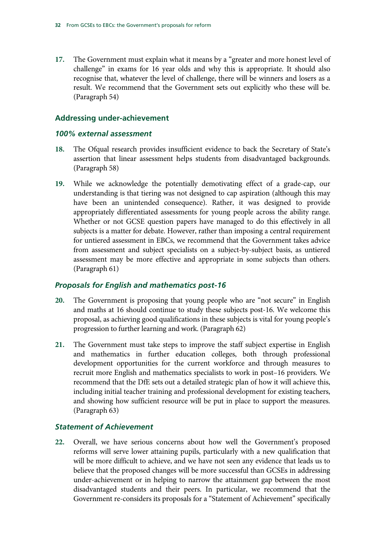**17.** The Government must explain what it means by a "greater and more honest level of challenge" in exams for 16 year olds and why this is appropriate. It should also recognise that, whatever the level of challenge, there will be winners and losers as a result. We recommend that the Government sets out explicitly who these will be. (Paragraph 54)

#### **Addressing under-achievement**

#### *100% external assessment*

- **18.** The Ofqual research provides insufficient evidence to back the Secretary of State's assertion that linear assessment helps students from disadvantaged backgrounds. (Paragraph 58)
- **19.** While we acknowledge the potentially demotivating effect of a grade-cap, our understanding is that tiering was not designed to cap aspiration (although this may have been an unintended consequence). Rather, it was designed to provide appropriately differentiated assessments for young people across the ability range. Whether or not GCSE question papers have managed to do this effectively in all subjects is a matter for debate. However, rather than imposing a central requirement for untiered assessment in EBCs, we recommend that the Government takes advice from assessment and subject specialists on a subject-by-subject basis, as untiered assessment may be more effective and appropriate in some subjects than others. (Paragraph 61)

#### *Proposals for English and mathematics post-16*

- **20.** The Government is proposing that young people who are "not secure" in English and maths at 16 should continue to study these subjects post-16. We welcome this proposal, as achieving good qualifications in these subjects is vital for young people's progression to further learning and work. (Paragraph 62)
- **21.** The Government must take steps to improve the staff subject expertise in English and mathematics in further education colleges, both through professional development opportunities for the current workforce and through measures to recruit more English and mathematics specialists to work in post–16 providers. We recommend that the DfE sets out a detailed strategic plan of how it will achieve this, including initial teacher training and professional development for existing teachers, and showing how sufficient resource will be put in place to support the measures. (Paragraph 63)

#### *Statement of Achievement*

**22.** Overall, we have serious concerns about how well the Government's proposed reforms will serve lower attaining pupils, particularly with a new qualification that will be more difficult to achieve, and we have not seen any evidence that leads us to believe that the proposed changes will be more successful than GCSEs in addressing under-achievement or in helping to narrow the attainment gap between the most disadvantaged students and their peers. In particular, we recommend that the Government re-considers its proposals for a "Statement of Achievement" specifically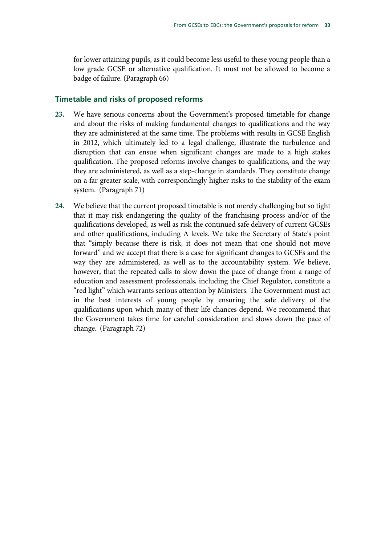for lower attaining pupils, as it could become less useful to these young people than a low grade GCSE or alternative qualification. It must not be allowed to become a badge of failure. (Paragraph 66)

## **Timetable and risks of proposed reforms**

- **23.** We have serious concerns about the Government's proposed timetable for change and about the risks of making fundamental changes to qualifications and the way they are administered at the same time. The problems with results in GCSE English in 2012, which ultimately led to a legal challenge, illustrate the turbulence and disruption that can ensue when significant changes are made to a high stakes qualification. The proposed reforms involve changes to qualifications, and the way they are administered, as well as a step-change in standards. They constitute change on a far greater scale, with correspondingly higher risks to the stability of the exam system. (Paragraph 71)
- **24.** We believe that the current proposed timetable is not merely challenging but so tight that it may risk endangering the quality of the franchising process and/or of the qualifications developed, as well as risk the continued safe delivery of current GCSEs and other qualifications, including A levels. We take the Secretary of State's point that "simply because there is risk, it does not mean that one should not move forward" and we accept that there is a case for significant changes to GCSEs and the way they are administered, as well as to the accountability system. We believe, however, that the repeated calls to slow down the pace of change from a range of education and assessment professionals, including the Chief Regulator, constitute a "red light" which warrants serious attention by Ministers. The Government must act in the best interests of young people by ensuring the safe delivery of the qualifications upon which many of their life chances depend. We recommend that the Government takes time for careful consideration and slows down the pace of change. (Paragraph 72)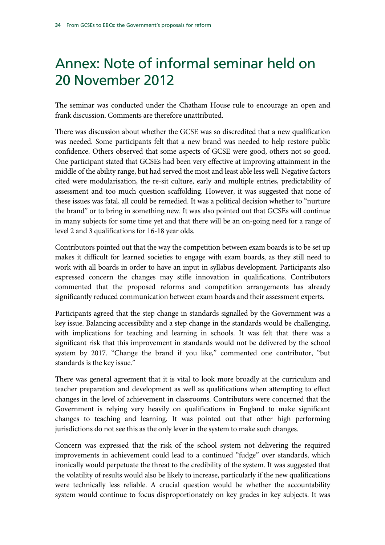# Annex: Note of informal seminar held on 20 November 2012

The seminar was conducted under the Chatham House rule to encourage an open and frank discussion. Comments are therefore unattributed.

There was discussion about whether the GCSE was so discredited that a new qualification was needed. Some participants felt that a new brand was needed to help restore public confidence. Others observed that some aspects of GCSE were good, others not so good. One participant stated that GCSEs had been very effective at improving attainment in the middle of the ability range, but had served the most and least able less well. Negative factors cited were modularisation, the re-sit culture, early and multiple entries, predictability of assessment and too much question scaffolding. However, it was suggested that none of these issues was fatal, all could be remedied. It was a political decision whether to "nurture the brand" or to bring in something new. It was also pointed out that GCSEs will continue in many subjects for some time yet and that there will be an on-going need for a range of level 2 and 3 qualifications for 16-18 year olds.

Contributors pointed out that the way the competition between exam boards is to be set up makes it difficult for learned societies to engage with exam boards, as they still need to work with all boards in order to have an input in syllabus development. Participants also expressed concern the changes may stifle innovation in qualifications. Contributors commented that the proposed reforms and competition arrangements has already significantly reduced communication between exam boards and their assessment experts.

Participants agreed that the step change in standards signalled by the Government was a key issue. Balancing accessibility and a step change in the standards would be challenging, with implications for teaching and learning in schools. It was felt that there was a significant risk that this improvement in standards would not be delivered by the school system by 2017. "Change the brand if you like," commented one contributor, "but standards is the key issue."

There was general agreement that it is vital to look more broadly at the curriculum and teacher preparation and development as well as qualifications when attempting to effect changes in the level of achievement in classrooms. Contributors were concerned that the Government is relying very heavily on qualifications in England to make significant changes to teaching and learning. It was pointed out that other high performing jurisdictions do not see this as the only lever in the system to make such changes.

Concern was expressed that the risk of the school system not delivering the required improvements in achievement could lead to a continued "fudge" over standards, which ironically would perpetuate the threat to the credibility of the system. It was suggested that the volatility of results would also be likely to increase, particularly if the new qualifications were technically less reliable. A crucial question would be whether the accountability system would continue to focus disproportionately on key grades in key subjects. It was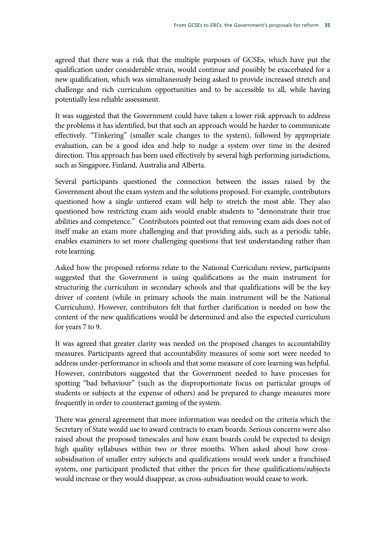agreed that there was a risk that the multiple purposes of GCSEs, which have put the qualification under considerable strain, would continue and possibly be exacerbated for a new qualification, which was simultaneously being asked to provide increased stretch and challenge and rich curriculum opportunities and to be accessible to all, while having potentially less reliable assessment.

It was suggested that the Government could have taken a lower risk approach to address the problems it has identified, but that such an approach would be harder to communicate effectively. "Tinkering" (smaller scale changes to the system), followed by appropriate evaluation, can be a good idea and help to nudge a system over time in the desired direction. This approach has been used effectively by several high performing jurisdictions, such as Singapore, Finland, Australia and Alberta.

Several participants questioned the connection between the issues raised by the Government about the exam system and the solutions proposed. For example, contributors questioned how a single untiered exam will help to stretch the most able. They also questioned how restricting exam aids would enable students to "demonstrate their true abilities and competence." Contributors pointed out that removing exam aids does not of itself make an exam more challenging and that providing aids, such as a periodic table, enables examiners to set more challenging questions that test understanding rather than rote learning.

Asked how the proposed reforms relate to the National Curriculum review, participants suggested that the Government is using qualifications as the main instrument for structuring the curriculum in secondary schools and that qualifications will be the key driver of content (while in primary schools the main instrument will be the National Curriculum). However, contributors felt that further clarification is needed on how the content of the new qualifications would be determined and also the expected curriculum for years 7 to 9.

It was agreed that greater clarity was needed on the proposed changes to accountability measures. Participants agreed that accountability measures of some sort were needed to address under-performance in schools and that some measure of core learning was helpful. However, contributors suggested that the Government needed to have processes for spotting "bad behaviour" (such as the disproportionate focus on particular groups of students or subjects at the expense of others) and be prepared to change measures more frequently in order to counteract gaming of the system.

There was general agreement that more information was needed on the criteria which the Secretary of State would use to award contracts to exam boards. Serious concerns were also raised about the proposed timescales and how exam boards could be expected to design high quality syllabuses within two or three months. When asked about how crosssubsidisation of smaller entry subjects and qualifications would work under a franchised system, one participant predicted that either the prices for these qualifications/subjects would increase or they would disappear, as cross-subsidisation would cease to work.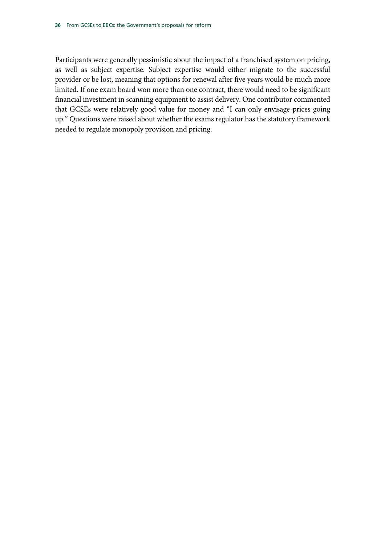Participants were generally pessimistic about the impact of a franchised system on pricing, as well as subject expertise. Subject expertise would either migrate to the successful provider or be lost, meaning that options for renewal after five years would be much more limited. If one exam board won more than one contract, there would need to be significant financial investment in scanning equipment to assist delivery. One contributor commented that GCSEs were relatively good value for money and "I can only envisage prices going up." Questions were raised about whether the exams regulator has the statutory framework needed to regulate monopoly provision and pricing.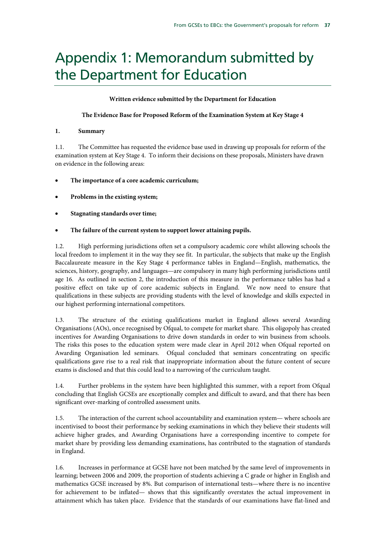## Appendix 1: Memorandum submitted by the Department for Education

## **Written evidence submitted by the Department for Education**

## **The Evidence Base for Proposed Reform of the Examination System at Key Stage 4**

## **1. Summary**

1.1. The Committee has requested the evidence base used in drawing up proposals for reform of the examination system at Key Stage 4. To inform their decisions on these proposals, Ministers have drawn on evidence in the following areas:

- **The importance of a core academic curriculum;**
- **Problems in the existing system;**
- **Stagnating standards over time;**

## • **The failure of the current system to support lower attaining pupils.**

1.2. High performing jurisdictions often set a compulsory academic core whilst allowing schools the local freedom to implement it in the way they see fit. In particular, the subjects that make up the English Baccalaureate measure in the Key Stage 4 performance tables in England—English, mathematics, the sciences, history, geography, and languages—are compulsory in many high performing jurisdictions until age 16. As outlined in section 2, the introduction of this measure in the performance tables has had a positive effect on take up of core academic subjects in England. We now need to ensure that qualifications in these subjects are providing students with the level of knowledge and skills expected in our highest performing international competitors.

1.3. The structure of the existing qualifications market in England allows several Awarding Organisations (AOs), once recognised by Ofqual, to compete for market share. This oligopoly has created incentives for Awarding Organisations to drive down standards in order to win business from schools. The risks this poses to the education system were made clear in April 2012 when Ofqual reported on Awarding Organisation led seminars. Ofqual concluded that seminars concentrating on specific qualifications gave rise to a real risk that inappropriate information about the future content of secure exams is disclosed and that this could lead to a narrowing of the curriculum taught.

1.4. Further problems in the system have been highlighted this summer, with a report from Ofqual concluding that English GCSEs are exceptionally complex and difficult to award, and that there has been significant over-marking of controlled assessment units.

1.5. The interaction of the current school accountability and examination system— where schools are incentivised to boost their performance by seeking examinations in which they believe their students will achieve higher grades, and Awarding Organisations have a corresponding incentive to compete for market share by providing less demanding examinations, has contributed to the stagnation of standards in England.

1.6. Increases in performance at GCSE have not been matched by the same level of improvements in learning; between 2006 and 2009, the proportion of students achieving a C grade or higher in English and mathematics GCSE increased by 8%. But comparison of international tests—where there is no incentive for achievement to be inflated— shows that this significantly overstates the actual improvement in attainment which has taken place. Evidence that the standards of our examinations have flat-lined and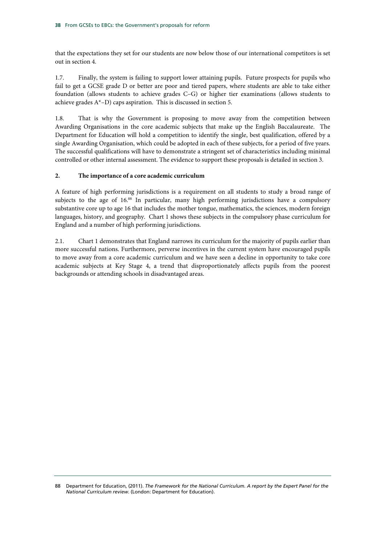that the expectations they set for our students are now below those of our international competitors is set out in section 4.

1.7. Finally, the system is failing to support lower attaining pupils. Future prospects for pupils who fail to get a GCSE grade D or better are poor and tiered papers, where students are able to take either foundation (allows students to achieve grades C–G) or higher tier examinations (allows students to achieve grades A\*–D) caps aspiration. This is discussed in section 5.

1.8. That is why the Government is proposing to move away from the competition between Awarding Organisations in the core academic subjects that make up the English Baccalaureate. The Department for Education will hold a competition to identify the single, best qualification, offered by a single Awarding Organisation, which could be adopted in each of these subjects, for a period of five years. The successful qualifications will have to demonstrate a stringent set of characteristics including minimal controlled or other internal assessment. The evidence to support these proposals is detailed in section 3.

## **2. The importance of a core academic curriculum**

A feature of high performing jurisdictions is a requirement on all students to study a broad range of subjects to the age of 16.88 In particular, many high performing jurisdictions have a compulsory substantive core up to age 16 that includes the mother tongue, mathematics, the sciences, modern foreign languages, history, and geography. Chart 1 shows these subjects in the compulsory phase curriculum for England and a number of high performing jurisdictions.

2.1. Chart 1 demonstrates that England narrows its curriculum for the majority of pupils earlier than more successful nations. Furthermore, perverse incentives in the current system have encouraged pupils to move away from a core academic curriculum and we have seen a decline in opportunity to take core academic subjects at Key Stage 4, a trend that disproportionately affects pupils from the poorest backgrounds or attending schools in disadvantaged areas.

<sup>88</sup> Department for Education, (2011). *The Framework for the National Curriculum. A report by the Expert Panel for the National Curriculum review*. (London: Department for Education).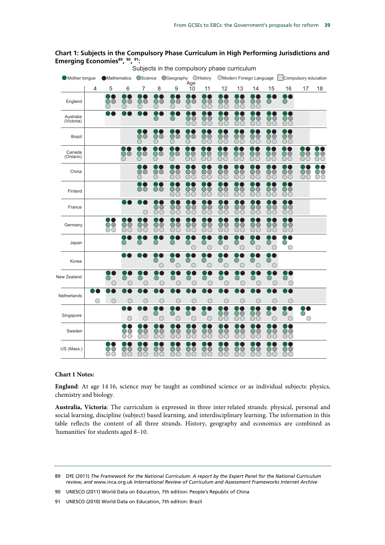## **Chart 1: Subjects in the Compulsory Phase Curriculum in High Performing Jurisdictions and**  Emerging Economies<sup>89</sup>, 90, 91: Subjects in the compulsory phase curriculum

| Mother tongue           |            | <b>Mathematics</b> |                        | <b>OScience</b>     |                                           | ○Geography ○History                               | Age                       |                 |                 | OModern Foreign Language  |                                            |                           |                           | Compulsory education |                                            |
|-------------------------|------------|--------------------|------------------------|---------------------|-------------------------------------------|---------------------------------------------------|---------------------------|-----------------|-----------------|---------------------------|--------------------------------------------|---------------------------|---------------------------|----------------------|--------------------------------------------|
|                         | 4          | 5                  | 6                      | 7                   | 8                                         | 9                                                 | 10                        | 11              | 12              | 13                        | 14                                         | 15                        | 16                        | 17                   | 18                                         |
| England                 |            | OO                 | ŌО                     | ŌО<br>◯             | ŌО<br>◯                                   | OO<br>◯                                           | $\circlearrowright$<br>◯  | 88              | 88              | 88                        | 88                                         | $\bigcirc$                | p C<br>$\bigcirc$         |                      |                                            |
| Australia<br>(Victoria) |            |                    |                        |                     | ◯                                         | $\bigcirc$                                        | 88                        | 88              | 88              | 88                        | 88                                         | 88                        | DO<br>88                  |                      |                                            |
| <b>Brazil</b>           |            |                    |                        | ŎŎ                  | ŌŎ                                        | OŌ<br>$\left(\begin{array}{c} \end{array}\right)$ | OŌ                        | ŎŎ<br>ŌŌ        | OÒ<br>ŌŌ        | OÒ<br>OO                  | ŎŎ<br>ŎČ                                   | 88                        | ю<br>88                   |                      |                                            |
| Canada<br>(Ontario)     |            |                    | ŎŎ                     | ŎŌ                  | ŌŌ<br>○                                   | OC<br>$\left(\begin{array}{c} \end{array}\right)$ | ŎO<br>OO                  | ŎŎ<br>$\circ$   | ŎŌ<br>ŎÒ        | ŎŌ<br>$\circlearrowright$ | OO<br>$\circlearrowright$                  | ŎŎ<br>$\circlearrowright$ | ŎŌ<br>$\circlearrowright$ | ŌŌ<br>OO             | $\circlearrowright$<br>$\circlearrowright$ |
| China                   |            |                    |                        | OO                  | OO<br>0                                   | 88                                                | 88                        | 88              | 88              | 88                        | 88                                         | 88                        | <b>TO</b><br>88           | 88                   | 88                                         |
| Finland                 |            |                    |                        | $\circlearrowright$ | $\circlearrowright$                       | $\circlearrowright$<br>OΟ                         | $\circlearrowright$<br>OΟ | 88              | 88              | ÒČ<br>ŎĈ                  | 88                                         | 88                        | X.<br>88                  |                      |                                            |
| France                  |            |                    |                        | $\bigcirc$          | $\mathbf{r}$<br>ŎŌ<br>$\circlearrowright$ | OO<br>OС                                          | $\circlearrowright$<br>OΟ | ŎŎ<br>ŎŌ        | ŌŌ<br>ŎŎ        | ŎŎ<br>OO                  | $\circlearrowright$<br>$\circlearrowright$ | ŎŌ<br>ŎŌ                  | $\circlearrowright$<br>ÓÕ |                      |                                            |
| Germany                 |            | 88                 | 89                     | 88                  | 88                                        | 88                                                | 88                        | 88              | 88              | 88                        | 88                                         | 88                        | DO<br>88                  |                      |                                            |
| Japan                   |            |                    | ◯                      | ◯                   |                                           | ○                                                 | ∩<br>0                    | $\bigcirc$<br>O | $\bigcirc$<br>O | $\bigcirc$<br>O           | $\bigcirc$<br>O                            | $\bigcirc$<br>$\bigcirc$  | DO<br>$\bigcirc$<br>O     |                      |                                            |
| Korea                   |            |                    |                        |                     | ∩<br>$\bigcirc$                           | ⌒<br>$\bigcirc$                                   | ◯<br>$\bigcirc$           | Ō<br>$\bigcirc$ | Ō<br>$\bigcirc$ | Ō<br>О                    | O<br>$\bigcirc$                            | O<br>$\bigcirc$           |                           |                      |                                            |
| New Zealand             |            | $\bigcirc$<br>∩    | $\left(\;\right)$<br>∩ | $\bigcirc$<br>O     | $\bigcirc$<br>C                           | O<br>∩                                            | $\bigcirc$<br>O           | $\bigcirc$<br>O | $\bigcirc$<br>∩ | $\bigcirc$<br>O           | $\bigcirc$<br>∩                            | $\bigcirc$<br>O           | DO<br>O<br>$\bigcirc$     |                      |                                            |
| Netherlands             | $\bigcirc$ | O                  | 0                      | O                   | O                                         | О                                                 | О                         | $\bigcirc$      | O               | 0                         | O                                          | C                         | $\mathbf{I}$<br>O         |                      |                                            |
| Singapore               |            |                    | $\bigcirc$             | $\bigcirc$          | Ō<br>$\bigcirc$                           | ∩<br>$\bigcirc$                                   | ∩<br>C                    | ◯<br>$\bigcirc$ | 88              | ŌŌ<br>ŌŌ                  | $\circlearrowright$<br>$\circlearrowright$ | ◯<br>$\bigcirc$           | $\bigcirc$<br>$\bigcirc$  | ∩<br>$\bigcirc$      |                                            |
| Sweden                  |            |                    | 88                     | 88                  | 88                                        | 88                                                | 88                        | 88              | 88              | 88                        | 88                                         | 88                        | DO<br>88                  |                      |                                            |
| US (Mass.)              |            | OŎ<br>OΟ           | ŎŎ<br>ŎŎ               | ŌŎ<br>ŎŎ            | ŌŎ<br>ŌŌ                                  | OÒ<br>OΟ                                          | OÒ<br>OO                  | ŌŎ<br>ŌŌ        | OÒ<br>OO        | OÒ<br>$\circlearrowright$ | OÒ<br>ŌŌ                                   | OÒ<br>OO                  | ŌŌ<br>ŎŎ                  |                      |                                            |

## **Chart 1 Notes:**

**England**: At age 14 16, science may be taught as combined science or as individual subjects: physics, chemistry and biology.

**Australia, Victoria**: The curriculum is expressed in three inter related strands: physical, personal and social learning, discipline (subject) based learning, and interdisciplinary learning. The information in this table reflects the content of all three strands. History, geography and economics are combined as 'humanities' for students aged 8–10.

<sup>89</sup> DfE (2011) *The Framework for the National Curriculum. A report by the Expert Panel for the National Curriculum review, and* www.inca.org.uk *International Review of Curriculum and Assessment Frameworks Internet Archive*

<sup>90</sup> UNESCO (2011) World Data on Education, 7th edition: People's Republic of China

<sup>91</sup> UNESCO (2010) World Data on Education, 7th edition: Brazil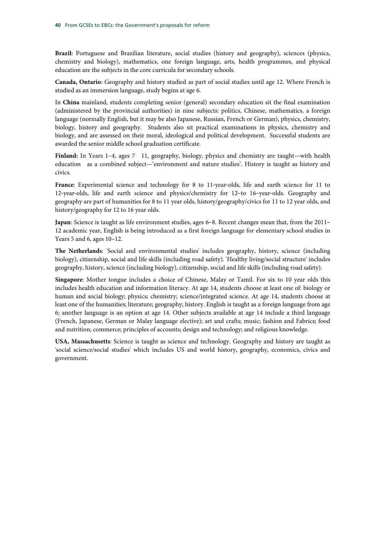**Brazil:** Portuguese and Brazilian literature, social studies (history and geography), sciences (physics, chemistry and biology), mathematics, one foreign language, arts, health programmes, and physical education are the subjects in the core curricula for secondary schools.

**Canada, Ontario**: Geography and history studied as part of social studies until age 12. Where French is studied as an immersion language, study begins at age 6.

In **China** mainland, students completing senior (general) secondary education sit the final examination (administered by the provincial authorities) in nine subjects: politics, Chinese, mathematics, a foreign language (normally English, but it may be also Japanese, Russian, French or German), physics, chemistry, biology, history and geography. Students also sit practical examinations in physics, chemistry and biology, and are assessed on their moral, ideological and political development. Successful students are awarded the senior middle school graduation certificate.

**Finland:** In Years 1–4, ages 7 11, geography, biology, physics and chemistry are taught—with health education as a combined subject—'environment and nature studies'. History is taught as history and civics.

France: Experimental science and technology for 8 to 11-year-olds, life and earth science for 11 to 12-year-olds, life and earth science and physics/chemistry for 12-to 16-year-olds. Geography and geography are part of humanities for 8 to 11 year olds, history/geography/civics for 11 to 12 year olds, and history/geography for 12 to 16 year olds.

**Japan**: Science is taught as life environment studies, ages 6–8. Recent changes mean that, from the 2011– 12 academic year, English is being introduced as a first foreign language for elementary school studies in Years 5 and 6, ages 10–12.

**The Netherlands**: 'Social and environmental studies' includes geography, history, science (including biology), citizenship, social and life skills (including road safety). 'Healthy living/social structure' includes geography, history, science (including biology), citizenship, social and life skills (including road safety).

**Singapore**: Mother tongue includes a choice of Chinese, Malay or Tamil. For six to 10 year olds this includes health education and information literacy. At age 14, students choose at least one of: biology or human and social biology; physics; chemistry; science/integrated science. At age 14, students choose at least one of the humanities; literature; geography; history. English is taught as a foreign language from age 6; another language is an option at age 14. Other subjects available at age 14 include a third language (French, Japanese, German or Malay language elective); art and crafts; music; fashion and Fabrics; food and nutrition; commerce; principles of accounts; design and technology; and religious knowledge.

**USA, Massachusetts**: Science is taught as science and technology. Geography and history are taught as 'social science/social studies' which includes US and world history, geography, economics, civics and government.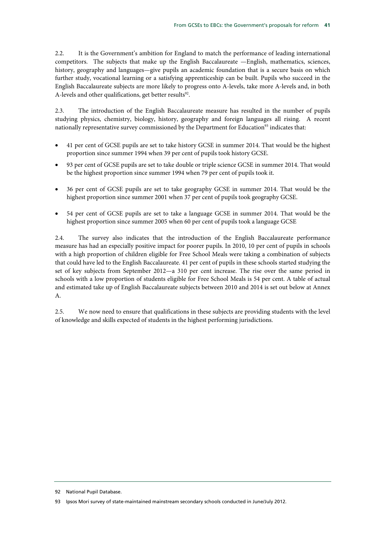2.2. It is the Government's ambition for England to match the performance of leading international competitors. The subjects that make up the English Baccalaureate —English, mathematics, sciences, history, geography and languages—give pupils an academic foundation that is a secure basis on which further study, vocational learning or a satisfying apprenticeship can be built. Pupils who succeed in the English Baccalaureate subjects are more likely to progress onto A-levels, take more A-levels and, in both A-levels and other qualifications, get better results<sup>92</sup>.

2.3. The introduction of the English Baccalaureate measure has resulted in the number of pupils studying physics, chemistry, biology, history, geography and foreign languages all rising. A recent nationally representative survey commissioned by the Department for Education<sup>93</sup> indicates that:

- 41 per cent of GCSE pupils are set to take history GCSE in summer 2014. That would be the highest proportion since summer 1994 when 39 per cent of pupils took history GCSE.
- 93 per cent of GCSE pupils are set to take double or triple science GCSE in summer 2014. That would be the highest proportion since summer 1994 when 79 per cent of pupils took it.
- 36 per cent of GCSE pupils are set to take geography GCSE in summer 2014. That would be the highest proportion since summer 2001 when 37 per cent of pupils took geography GCSE.
- 54 per cent of GCSE pupils are set to take a language GCSE in summer 2014. That would be the highest proportion since summer 2005 when 60 per cent of pupils took a language GCSE

2.4. The survey also indicates that the introduction of the English Baccalaureate performance measure has had an especially positive impact for poorer pupils. In 2010, 10 per cent of pupils in schools with a high proportion of children eligible for Free School Meals were taking a combination of subjects that could have led to the English Baccalaureate. 41 per cent of pupils in these schools started studying the set of key subjects from September 2012—a 310 per cent increase. The rise over the same period in schools with a low proportion of students eligible for Free School Meals is 54 per cent. A table of actual and estimated take up of English Baccalaureate subjects between 2010 and 2014 is set out below at Annex A.

2.5. We now need to ensure that qualifications in these subjects are providing students with the level of knowledge and skills expected of students in the highest performing jurisdictions.

<sup>92</sup> National Pupil Database.

<sup>93</sup> Ipsos Mori survey of state-maintained mainstream secondary schools conducted in June/July 2012.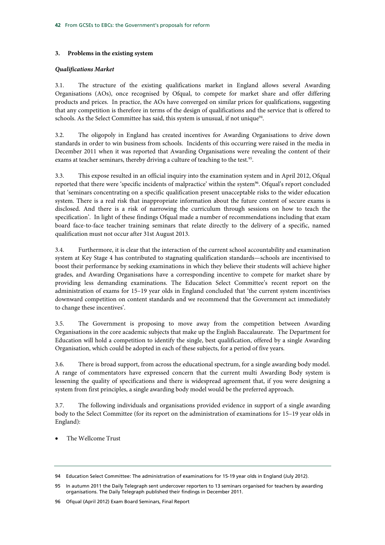## **3. Problems in the existing system**

## *Qualifications Market*

3.1. The structure of the existing qualifications market in England allows several Awarding Organisations (AOs), once recognised by Ofqual, to compete for market share and offer differing products and prices. In practice, the AOs have converged on similar prices for qualifications, suggesting that any competition is therefore in terms of the design of qualifications and the service that is offered to schools. As the Select Committee has said, this system is unusual, if not unique $94$ .

3.2. The oligopoly in England has created incentives for Awarding Organisations to drive down standards in order to win business from schools. Incidents of this occurring were raised in the media in December 2011 when it was reported that Awarding Organisations were revealing the content of their exams at teacher seminars, thereby driving a culture of teaching to the test.<sup>95</sup>.

3.3. This expose resulted in an official inquiry into the examination system and in April 2012, Ofqual reported that there were 'specific incidents of malpractice' within the system<sup>96</sup>. Ofqual's report concluded that 'seminars concentrating on a specific qualification present unacceptable risks to the wider education system. There is a real risk that inappropriate information about the future content of secure exams is disclosed. And there is a risk of narrowing the curriculum through sessions on how to teach the specification'. In light of these findings Ofqual made a number of recommendations including that exam board face-to-face teacher training seminars that relate directly to the delivery of a specific, named qualification must not occur after 31st August 2013.

3.4. Furthermore, it is clear that the interaction of the current school accountability and examination system at Key Stage 4 has contributed to stagnating qualification standards—schools are incentivised to boost their performance by seeking examinations in which they believe their students will achieve higher grades, and Awarding Organisations have a corresponding incentive to compete for market share by providing less demanding examinations. The Education Select Committee's recent report on the administration of exams for 15–19 year olds in England concluded that 'the current system incentivises downward competition on content standards and we recommend that the Government act immediately to change these incentives'.

3.5. The Government is proposing to move away from the competition between Awarding Organisations in the core academic subjects that make up the English Baccalaureate. The Department for Education will hold a competition to identify the single, best qualification, offered by a single Awarding Organisation, which could be adopted in each of these subjects, for a period of five years.

3.6. There is broad support, from across the educational spectrum, for a single awarding body model. A range of commentators have expressed concern that the current multi Awarding Body system is lessening the quality of specifications and there is widespread agreement that, if you were designing a system from first principles, a single awarding body model would be the preferred approach.

3.7. The following individuals and organisations provided evidence in support of a single awarding body to the Select Committee (for its report on the administration of examinations for 15–19 year olds in England):

• The Wellcome Trust

<sup>94</sup> Education Select Committee: The administration of examinations for 15-19 year olds in England (July 2012).

<sup>95</sup> In autumn 2011 the Daily Telegraph sent undercover reporters to 13 seminars organised for teachers by awarding organisations. The Daily Telegraph published their findings in December 2011.

<sup>96</sup> Ofqual (April 2012) Exam Board Seminars, Final Report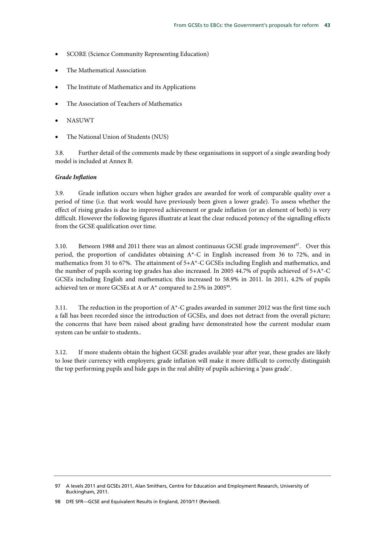- SCORE (Science Community Representing Education)
- The Mathematical Association
- The Institute of Mathematics and its Applications
- The Association of Teachers of Mathematics
- NASUWT
- The National Union of Students (NUS)

3.8. Further detail of the comments made by these organisations in support of a single awarding body model is included at Annex B.

#### *Grade Inflation*

3.9. Grade inflation occurs when higher grades are awarded for work of comparable quality over a period of time (i.e. that work would have previously been given a lower grade). To assess whether the effect of rising grades is due to improved achievement or grade inflation (or an element of both) is very difficult. However the following figures illustrate at least the clear reduced potency of the signalling effects from the GCSE qualification over time.

3.10. Between 1988 and 2011 there was an almost continuous GCSE grade improvement $97$ . Over this period, the proportion of candidates obtaining A\*-C in English increased from 36 to 72%, and in mathematics from 31 to 67%. The attainment of 5+A\*-C GCSEs including English and mathematics, and the number of pupils scoring top grades has also increased. In 2005 44.7% of pupils achieved of 5+A\*-C GCSEs including English and mathematics; this increased to 58.9% in 2011. In 2011, 4.2% of pupils achieved ten or more GCSEs at A or A\* compared to 2.5% in 2005<sup>98</sup>.

3.11. The reduction in the proportion of  $A^*$ -C grades awarded in summer 2012 was the first time such a fall has been recorded since the introduction of GCSEs, and does not detract from the overall picture; the concerns that have been raised about grading have demonstrated how the current modular exam system can be unfair to students..

3.12. If more students obtain the highest GCSE grades available year after year, these grades are likely to lose their currency with employers; grade inflation will make it more difficult to correctly distinguish the top performing pupils and hide gaps in the real ability of pupils achieving a 'pass grade'.

<sup>97</sup> A levels 2011 and GCSEs 2011, Alan Smithers, Centre for Education and Employment Research, University of Buckingham, 2011.

<sup>98</sup> DfE SFR—GCSE and Equivalent Results in England, 2010/11 (Revised).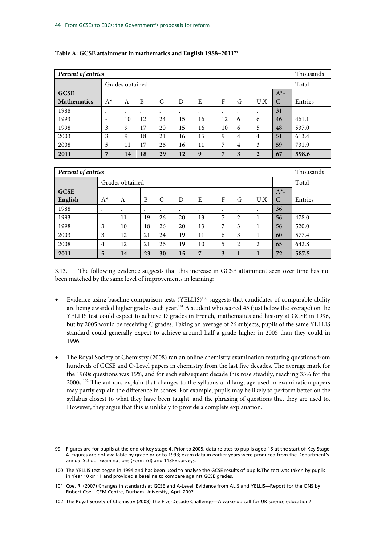| Percent of entries |       |                 |           |    |           |    |    |           |                | Thousands |           |
|--------------------|-------|-----------------|-----------|----|-----------|----|----|-----------|----------------|-----------|-----------|
|                    |       | Grades obtained |           |    |           |    |    |           |                | Total     |           |
| <b>GCSE</b>        |       |                 |           |    |           |    |    |           |                | $A^*$ -   |           |
| <b>Mathematics</b> | $A^*$ | A               | B         | C  | D         | E  | F  | G         | U.X            | C         | Entries   |
| 1988               | ٠     | $\bullet$       | $\bullet$ | ٠  | $\bullet$ | ٠  | ٠  | $\bullet$ |                | 31        | $\bullet$ |
| 1993               | -     | 10              | 12        | 24 | 15        | 16 | 12 | 6         | 6              | 46        | 461.1     |
| 1998               | 3     | 9               | 17        | 20 | 15        | 16 | 10 | 6         | 5              | 48        | 537.0     |
| 2003               | 3     | 9               | 18        | 21 | 16        | 15 | 9  | 4         | 4              | 51        | 613.4     |
| 2008               | 5     | 11              | 17        | 26 | 16        | 11 | 7  | 4         | 3              | 59        | 731.9     |
| 2011               | 7     | 14              | 18        | 29 | 12        | 9  | 7  | 3         | $\overline{2}$ | 67        | 598.6     |

## **Table A: GCSE attainment in mathematics and English 1988–201199**

|             | Percent of entries |           |           |         |    |    |              |                |           | Thousands     |         |
|-------------|--------------------|-----------|-----------|---------|----|----|--------------|----------------|-----------|---------------|---------|
|             | Grades obtained    |           |           |         |    |    |              |                | Total     |               |         |
| <b>GCSE</b> |                    |           |           |         |    |    |              |                |           | $A^*$ -       |         |
| English     | $A^*$              | A         | B         | C       | D  | E  | $\mathbf{F}$ | G              | U, X      | $\mathcal{C}$ | Entries |
| 1988        | ٠                  | $\bullet$ | $\bullet$ | $\cdot$ | ٠  | ٠  | ٠            | $\bullet$      | $\bullet$ | 36            | $\cdot$ |
| 1993        | -                  | 11        | 19        | 26      | 20 | 13 | 7            | $\overline{c}$ |           | 56            | 478.0   |
| 1998        | 3                  | 10        | 18        | 26      | 20 | 13 | 7            | 3              |           | 56            | 520.0   |
| 2003        | 3                  | 12        | 21        | 24      | 19 | 11 | 6            | 3              |           | 60            | 577.4   |
| 2008        | $\overline{4}$     | 12        | 21        | 26      | 19 | 10 | 5            | 2              | 2         | 65            | 642.8   |
| 2011        | 5                  | 14        | 23        | 30      | 15 | 7  | 3            |                |           | 72            | 587.5   |

3.13. The following evidence suggests that this increase in GCSE attainment seen over time has not been matched by the same level of improvements in learning:

- Evidence using baseline comparison tests (YELLIS)<sup>100</sup> suggests that candidates of comparable ability are being awarded higher grades each year.<sup>101</sup> A student who scored 45 (just below the average) on the YELLIS test could expect to achieve D grades in French, mathematics and history at GCSE in 1996, but by 2005 would be receiving C grades. Taking an average of 26 subjects, pupils of the same YELLIS standard could generally expect to achieve around half a grade higher in 2005 than they could in 1996.
- The Royal Society of Chemistry (2008) ran an online chemistry examination featuring questions from hundreds of GCSE and O-Level papers in chemistry from the last five decades. The average mark for the 1960s questions was 15%, and for each subsequent decade this rose steadily, reaching 35% for the 2000s.102 The authors explain that changes to the syllabus and language used in examination papers may partly explain the difference in scores. For example, pupils may be likely to perform better on the syllabus closest to what they have been taught, and the phrasing of questions that they are used to. However, they argue that this is unlikely to provide a complete explanation.

<sup>99</sup> Figures are for pupils at the end of key stage 4. Prior to 2005, data relates to pupils aged 15 at the start of Key Stage 4. Figures are not available by grade prior to 1993; exam data in earlier years were produced from the Department's annual School Examinations (Form 7d) and 113FE surveys.

<sup>100</sup> The YELLIS test began in 1994 and has been used to analyse the GCSE results of pupils.The test was taken by pupils in Year 10 or 11 and provided a baseline to compare against GCSE grades.

<sup>101</sup> Coe, R. (2007) Changes in standards at GCSE and A-Level: Evidence from ALIS and YELLIS—Report for the ONS by Robert Coe—CEM Centre, Durham University, April 2007

<sup>102</sup> The Royal Society of Chemistry (2008) The Five-Decade Challenge—A wake-up call for UK science education?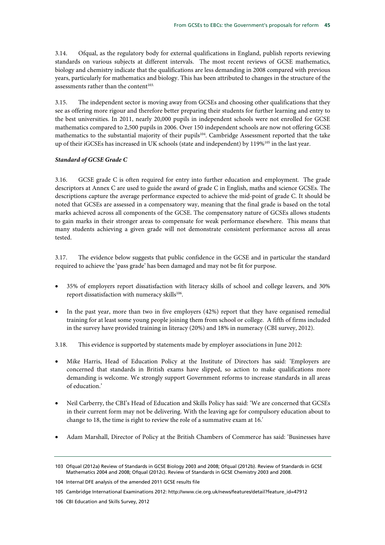3.14. Ofqual, as the regulatory body for external qualifications in England, publish reports reviewing standards on various subjects at different intervals. The most recent reviews of GCSE mathematics, biology and chemistry indicate that the qualifications are less demanding in 2008 compared with previous years, particularly for mathematics and biology. This has been attributed to changes in the structure of the assessments rather than the content $103$ .

3.15. The independent sector is moving away from GCSEs and choosing other qualifications that they see as offering more rigour and therefore better preparing their students for further learning and entry to the best universities. In 2011, nearly 20,000 pupils in independent schools were not enrolled for GCSE mathematics compared to 2,500 pupils in 2006. Over 150 independent schools are now not offering GCSE mathematics to the substantial majority of their pupils<sup>104</sup>. Cambridge Assessment reported that the take up of their iGCSEs has increased in UK schools (state and independent) by 119%105 in the last year.

## *Standard of GCSE Grade C*

3.16. GCSE grade C is often required for entry into further education and employment. The grade descriptors at Annex C are used to guide the award of grade C in English, maths and science GCSEs. The descriptions capture the average performance expected to achieve the mid-point of grade C. It should be noted that GCSEs are assessed in a compensatory way, meaning that the final grade is based on the total marks achieved across all components of the GCSE. The compensatory nature of GCSEs allows students to gain marks in their stronger areas to compensate for weak performance elsewhere. This means that many students achieving a given grade will not demonstrate consistent performance across all areas tested.

3.17. The evidence below suggests that public confidence in the GCSE and in particular the standard required to achieve the 'pass grade' has been damaged and may not be fit for purpose.

- 35% of employers report dissatisfaction with literacy skills of school and college leavers, and 30% report dissatisfaction with numeracy skills<sup>106</sup>.
- In the past year, more than two in five employers (42%) report that they have organised remedial training for at least some young people joining them from school or college. A fifth of firms included in the survey have provided training in literacy (20%) and 18% in numeracy (CBI survey, 2012).

3.18. This evidence is supported by statements made by employer associations in June 2012:

- Mike Harris, Head of Education Policy at the Institute of Directors has said: 'Employers are concerned that standards in British exams have slipped, so action to make qualifications more demanding is welcome. We strongly support Government reforms to increase standards in all areas of education.'
- Neil Carberry, the CBI's Head of Education and Skills Policy has said: 'We are concerned that GCSEs in their current form may not be delivering. With the leaving age for compulsory education about to change to 18, the time is right to review the role of a summative exam at 16.'
- Adam Marshall, Director of Policy at the British Chambers of Commerce has said: 'Businesses have

<sup>103</sup> Ofqual (2012a) Review of Standards in GCSE Biology 2003 and 2008; Ofqual (2012b). Review of Standards in GCSE Mathematics 2004 and 2008; Ofqual (2012c). Review of Standards in GCSE Chemistry 2003 and 2008.

<sup>104</sup> Internal DFE analysis of the amended 2011 GCSE results file

<sup>105</sup> Cambridge International Examinations 2012: http://www.cie.org.uk/news/features/detail?feature\_id=47912

<sup>106</sup> CBI Education and Skills Survey, 2012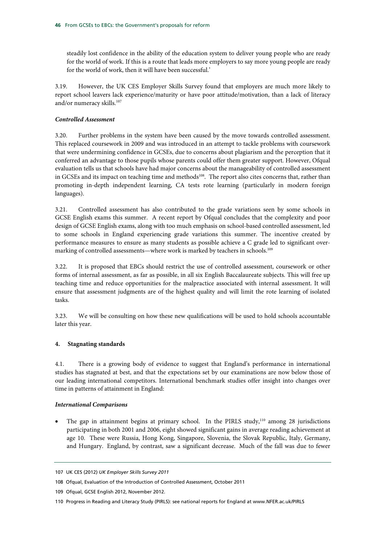steadily lost confidence in the ability of the education system to deliver young people who are ready for the world of work. If this is a route that leads more employers to say more young people are ready for the world of work, then it will have been successful.'

3.19. However, the UK CES Employer Skills Survey found that employers are much more likely to report school leavers lack experience/maturity or have poor attitude/motivation, than a lack of literacy and/or numeracy skills.<sup>107</sup>

## *Controlled Assessment*

3.20. Further problems in the system have been caused by the move towards controlled assessment. This replaced coursework in 2009 and was introduced in an attempt to tackle problems with coursework that were undermining confidence in GCSEs, due to concerns about plagiarism and the perception that it conferred an advantage to those pupils whose parents could offer them greater support. However, Ofqual evaluation tells us that schools have had major concerns about the manageability of controlled assessment in GCSEs and its impact on teaching time and methods<sup>108</sup>. The report also cites concerns that, rather than promoting in-depth independent learning, CA tests rote learning (particularly in modern foreign languages).

3.21. Controlled assessment has also contributed to the grade variations seen by some schools in GCSE English exams this summer. A recent report by Ofqual concludes that the complexity and poor design of GCSE English exams, along with too much emphasis on school-based controlled assessment, led to some schools in England experiencing grade variations this summer. The incentive created by performance measures to ensure as many students as possible achieve a C grade led to significant overmarking of controlled assessments—where work is marked by teachers in schools.<sup>109</sup>

3.22. It is proposed that EBCs should restrict the use of controlled assessment, coursework or other forms of internal assessment, as far as possible, in all six English Baccalaureate subjects. This will free up teaching time and reduce opportunities for the malpractice associated with internal assessment. It will ensure that assessment judgments are of the highest quality and will limit the rote learning of isolated tasks.

3.23. We will be consulting on how these new qualifications will be used to hold schools accountable later this year.

## **4. Stagnating standards**

4.1. There is a growing body of evidence to suggest that England's performance in international studies has stagnated at best, and that the expectations set by our examinations are now below those of our leading international competitors. International benchmark studies offer insight into changes over time in patterns of attainment in England:

## *International Comparisons*

The gap in attainment begins at primary school. In the PIRLS study,<sup>110</sup> among 28 jurisdictions participating in both 2001 and 2006, eight showed significant gains in average reading achievement at age 10. These were Russia, Hong Kong, Singapore, Slovenia, the Slovak Republic, Italy, Germany, and Hungary. England, by contrast, saw a significant decrease. Much of the fall was due to fewer

<sup>107</sup> UK CES (2012) *UK Employer Skills Survey 2011*

<sup>108</sup> Ofqual, Evaluation of the Introduction of Controlled Assessment, October 2011

<sup>109</sup> Ofqual, GCSE English 2012, November 2012.

<sup>110</sup> Progress in Reading and Literacy Study (PIRLS): see national reports for England at www.NFER.ac.uk/PIRLS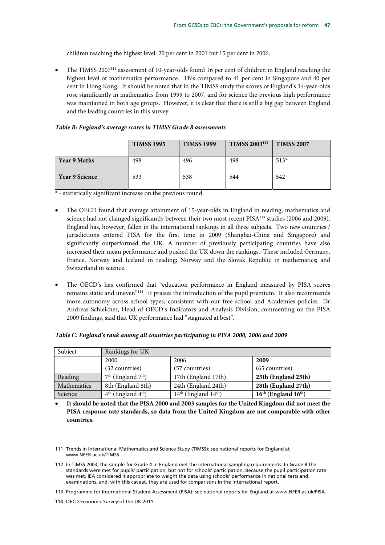children reaching the highest level: 20 per cent in 2001 but 15 per cent in 2006.

• The TIMSS 2007111 assessment of 10-year-olds found 16 per cent of children in England reaching the highest level of mathematics performance. This compared to 41 per cent in Singapore and 40 per cent in Hong Kong. It should be noted that in the TIMSS study the scores of England's 14-year-olds rose significantly in mathematics from 1999 to 2007, and for science the previous high performance was maintained in both age groups. However, it is clear that there is still a big gap between England and the leading countries in this survey.

## *Table B: England's average scores in TIMSS Grade 8 assessments*

|                       | <b>TIMSS 1995</b> | <b>TIMSS 1999</b> | TIMSS 2003 <sup>112</sup> | <b>TIMSS 2007</b> |
|-----------------------|-------------------|-------------------|---------------------------|-------------------|
| <b>Year 9 Maths</b>   | 498               | 496               | 498                       | $513*$            |
| <b>Year 9 Science</b> | 533               | 538               | 544                       | 542               |

\* - statistically significant increase on the previous round.

- The OECD found that average attainment of 15-year-olds in England in reading, mathematics and science had not changed significantly between their two most recent PISA<sup>113</sup> studies (2006 and 2009). England has, however, fallen in the international rankings in all three subjects. Two new countries / jurisdictions entered PISA for the first time in 2009 (Shanghai-China and Singapore) and significantly outperformed the UK. A number of previously participating countries have also increased their mean performance and pushed the UK down the rankings. These included Germany, France, Norway and Iceland in reading; Norway and the Slovak Republic in mathematics; and Switzerland in science.
- The OECD's has confirmed that "education performance in England measured by PISA scores remains static and uneven"<sup>114</sup>. It praises the introduction of the pupil premium. It also recommends more autonomy across school types, consistent with our free school and Academies policies. Dr Andreas Schleicher, Head of OECD's Indicators and Analysis Division, commenting on the PISA 2009 findings, said that UK performance had "stagnated at best".

| Subject     | Rankings for UK        |                          |                          |
|-------------|------------------------|--------------------------|--------------------------|
|             | 2000                   | 2006                     | 2009                     |
|             | $(32$ countries)       | (57 countries)           | $(65$ countries)         |
| Reading     | $7th$ (England $7th$ ) | 17th (England 17th)      | 25th (England 25th)      |
| Mathematics | 8th (England 8th)      | 24th (England 24th)      | 28th (England 27th)      |
| Science     | $4th$ (England $4th$ ) | $14th$ (England $14th$ ) | $16th$ (England $16th$ ) |

#### *Table C: England's rank among all countries participating in PISA 2000, 2006 and 2009*

• **It should be noted that the PISA 2000 and 2003 samples for the United Kingdom did not meet the PISA response rate standards, so data from the United Kingdom are not comparable with other countries.**

<sup>111</sup> Trends in International Mathematics and Science Study (TIMSS): see national reports for England at www.NFER.ac.uk/TIMSS

<sup>112</sup> In TIMSS 2003, the sample for Grade 4 in England met the international sampling requirements. In Grade 8 the standards were met for pupils' participation, but not for schools' participation. Because the pupil participation rate was met, IEA considered it appropriate to weight the data using schools' performance in national tests and examinations, and, with this caveat, they are used for comparisons in the international report.

<sup>113</sup> Programme for International Student Assessment (PISA): see national reports for England at www.NFER.ac.uk/PISA

<sup>114</sup> OECD Economic Survey of the UK 2011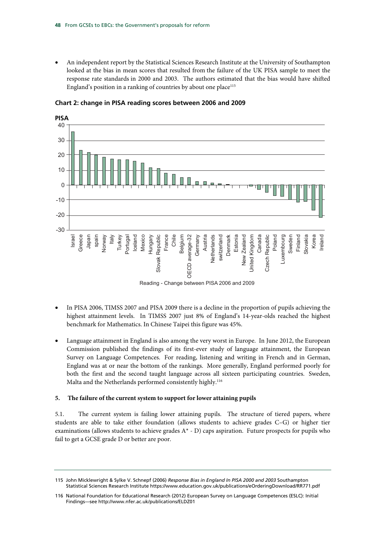• An independent report by the Statistical Sciences Research Institute at the University of Southampton looked at the bias in mean scores that resulted from the failure of the UK PISA sample to meet the response rate standards in 2000 and 2003. The authors estimated that the bias would have shifted England's position in a ranking of countries by about one place<sup>115</sup>



**Chart 2: change in PISA reading scores between 2006 and 2009** 

- In PISA 2006, TIMSS 2007 and PISA 2009 there is a decline in the proportion of pupils achieving the highest attainment levels. In TIMSS 2007 just 8% of England's 14-year-olds reached the highest benchmark for Mathematics. In Chinese Taipei this figure was 45%.
- Language attainment in England is also among the very worst in Europe. In June 2012, the European Commission published the findings of its first-ever study of language attainment, the European Survey on Language Competences. For reading, listening and writing in French and in German, England was at or near the bottom of the rankings. More generally, England performed poorly for both the first and the second taught language across all sixteen participating countries. Sweden, Malta and the Netherlands performed consistently highly.<sup>116</sup>

## **5. The failure of the current system to support for lower attaining pupils**

5.1. The current system is failing lower attaining pupils. The structure of tiered papers, where students are able to take either foundation (allows students to achieve grades C–G) or higher tier examinations (allows students to achieve grades  $A^*$  - D) caps aspiration. Future prospects for pupils who fail to get a GCSE grade D or better are poor.

<sup>115</sup> John Micklewright & Sylke V. Schnepf (2006) *Response Bias in England In PISA 2000 and 2003* Southampton Statistical Sciences Research Institute https://www.education.gov.uk/publications/eOrderingDownload/RR771.pdf

<sup>116</sup> National Foundation for Educational Research (2012) European Survey on Language Competences (ESLC): Initial Findings—see http://www.nfer.ac.uk/publications/ELDZ01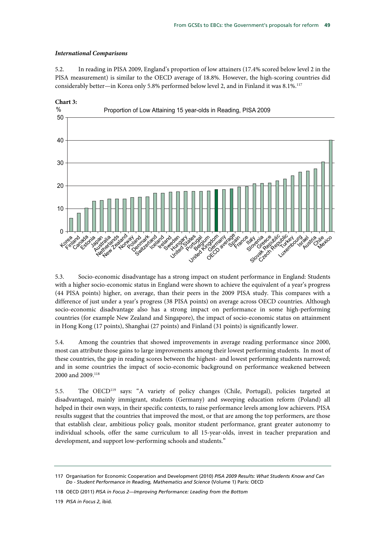## *International Comparisons*

5.2. In reading in PISA 2009, England's proportion of low attainers (17.4% scored below level 2 in the PISA measurement) is similar to the OECD average of 18.8%. However, the high-scoring countries did considerably better—in Korea only 5.8% performed below level 2, and in Finland it was 8.1%.117



5.3. Socio-economic disadvantage has a strong impact on student performance in England: Students with a higher socio-economic status in England were shown to achieve the equivalent of a year's progress (44 PISA points) higher, on average, than their peers in the 2009 PISA study. This compares with a difference of just under a year's progress (38 PISA points) on average across OECD countries. Although socio-economic disadvantage also has a strong impact on performance in some high-performing countries (for example New Zealand and Singapore), the impact of socio-economic status on attainment in Hong Kong (17 points), Shanghai (27 points) and Finland (31 points) is significantly lower.

5.4. Among the countries that showed improvements in average reading performance since 2000, most can attribute those gains to large improvements among their lowest performing students. In most of these countries, the gap in reading scores between the highest- and lowest performing students narrowed; and in some countries the impact of socio-economic background on performance weakened between 2000 and 2009.<sup>118</sup>

5.5. The OECD119 says: "A variety of policy changes (Chile, Portugal), policies targeted at disadvantaged, mainly immigrant, students (Germany) and sweeping education reform (Poland) all helped in their own ways, in their specific contexts, to raise performance levels among low achievers. PISA results suggest that the countries that improved the most, or that are among the top performers, are those that establish clear, ambitious policy goals, monitor student performance, grant greater autonomy to individual schools, offer the same curriculum to all 15-year-olds, invest in teacher preparation and development, and support low-performing schools and students."

<sup>117</sup> Organisation for Economic Cooperation and Development (2010) *PISA 2009 Results: What Students Know and Can Do - Student Performance in Reading, Mathematics and Science* (Volume 1) Paris: OECD

<sup>118</sup> OECD (2011) *PISA in Focus 2—Improving Performance: Leading from the Bottom*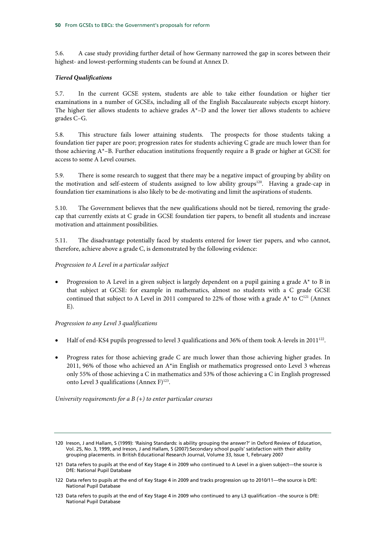5.6. A case study providing further detail of how Germany narrowed the gap in scores between their highest- and lowest-performing students can be found at Annex D.

## *Tiered Qualifications*

5.7. In the current GCSE system, students are able to take either foundation or higher tier examinations in a number of GCSEs, including all of the English Baccalaureate subjects except history. The higher tier allows students to achieve grades  $A^*$ –D and the lower tier allows students to achieve grades C–G.

5.8. This structure fails lower attaining students. The prospects for those students taking a foundation tier paper are poor; progression rates for students achieving C grade are much lower than for those achieving A\*–B. Further education institutions frequently require a B grade or higher at GCSE for access to some A Level courses.

5.9. There is some research to suggest that there may be a negative impact of grouping by ability on the motivation and self-esteem of students assigned to low ability groups<sup>120</sup>. Having a grade-cap in foundation tier examinations is also likely to be de-motivating and limit the aspirations of students.

5.10. The Government believes that the new qualifications should not be tiered, removing the gradecap that currently exists at C grade in GCSE foundation tier papers, to benefit all students and increase motivation and attainment possibilities.

5.11. The disadvantage potentially faced by students entered for lower tier papers, and who cannot, therefore, achieve above a grade C, is demonstrated by the following evidence:

*Progression to A Level in a particular subject* 

Progression to A Level in a given subject is largely dependent on a pupil gaining a grade  $A^*$  to B in that subject at GCSE: for example in mathematics, almost no students with a C grade GCSE continued that subject to A Level in 2011 compared to 22% of those with a grade  $A^*$  to  $C^{121}$  (Annex  $E$ ).

## *Progression to any Level 3 qualifications*

- Half of end-KS4 pupils progressed to level 3 qualifications and 36% of them took A-levels in 2011122.
- Progress rates for those achieving grade C are much lower than those achieving higher grades. In 2011, 96% of those who achieved an  $A^*$ in English or mathematics progressed onto Level 3 whereas only 55% of those achieving a C in mathematics and 53% of those achieving a C in English progressed onto Level 3 qualifications (Annex F) $123$ .

*University requirements for a B (+) to enter particular courses* 

<sup>120</sup> Ireson, J and Hallam, S (1999): 'Raising Standards: is ability grouping the answer?' in Oxford Review of Education, Vol. 25, No. 3, 1999, and Ireson, J and Hallam, S (2007):Secondary school pupils' satisfaction with their ability grouping placements. in British Educational Research Journal, Volume 33, Issue 1, February 2007

<sup>121</sup> Data refers to pupils at the end of Key Stage 4 in 2009 who continued to A Level in a given subject—the source is DfE: National Pupil Database

<sup>122</sup> Data refers to pupils at the end of Key Stage 4 in 2009 and tracks progression up to 2010/11—the source is DfE: National Pupil Database

<sup>123</sup> Data refers to pupils at the end of Key Stage 4 in 2009 who continued to any L3 qualification –the source is DfE: National Pupil Database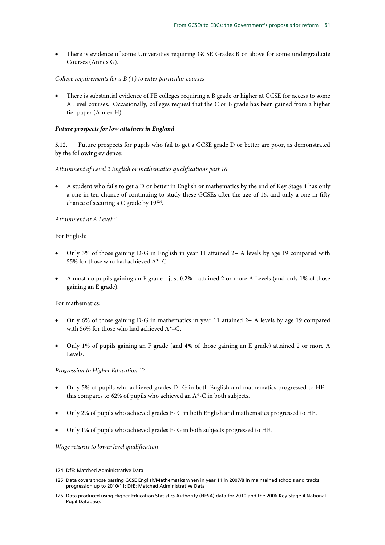• There is evidence of some Universities requiring GCSE Grades B or above for some undergraduate Courses (Annex G).

## *College requirements for a B (+) to enter particular courses*

• There is substantial evidence of FE colleges requiring a B grade or higher at GCSE for access to some A Level courses. Occasionally, colleges request that the C or B grade has been gained from a higher tier paper (Annex H).

#### *Future prospects for low attainers in England*

5.12. Future prospects for pupils who fail to get a GCSE grade D or better are poor, as demonstrated by the following evidence:

#### *Attainment of Level 2 English or mathematics qualifications post 16*

• A student who fails to get a D or better in English or mathematics by the end of Key Stage 4 has only a one in ten chance of continuing to study these GCSEs after the age of 16, and only a one in fifty chance of securing a C grade by  $19^{124}$ .

#### *Attainment at A Level125*

## For English:

- Only 3% of those gaining D-G in English in year 11 attained 2+ A levels by age 19 compared with 55% for those who had achieved A\*–C.
- Almost no pupils gaining an F grade—just 0.2%—attained 2 or more A Levels (and only 1% of those gaining an E grade).

#### For mathematics:

- Only 6% of those gaining D-G in mathematics in year 11 attained 2+ A levels by age 19 compared with 56% for those who had achieved A\*–C.
- Only 1% of pupils gaining an F grade (and 4% of those gaining an E grade) attained 2 or more A Levels.

#### *Progression to Higher Education 126*

- Only 5% of pupils who achieved grades D- G in both English and mathematics progressed to HE this compares to 62% of pupils who achieved an A\*-C in both subjects.
- Only 2% of pupils who achieved grades E- G in both English and mathematics progressed to HE.
- Only 1% of pupils who achieved grades F- G in both subjects progressed to HE.

*Wage returns to lower level qualification* 

<sup>124</sup> DfE: Matched Administrative Data

<sup>125</sup> Data covers those passing GCSE English/Mathematics when in year 11 in 2007/8 in maintained schools and tracks progression up to 2010/11: DfE: Matched Administrative Data

<sup>126</sup> Data produced using Higher Education Statistics Authority (HESA) data for 2010 and the 2006 Key Stage 4 National Pupil Database.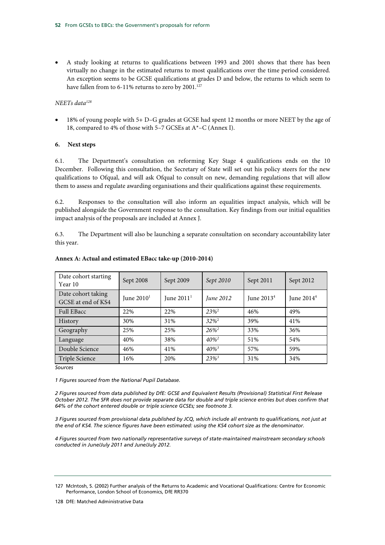• A study looking at returns to qualifications between 1993 and 2001 shows that there has been virtually no change in the estimated returns to most qualifications over the time period considered. An exception seems to be GCSE qualifications at grades D and below, the returns to which seem to have fallen from to 6-11% returns to zero by 2001.<sup>127</sup>

## *NEETs data128*

• 18% of young people with 5+ D–G grades at GCSE had spent 12 months or more NEET by the age of 18, compared to 4% of those with 5–7 GCSEs at A\*–C (Annex I).

## **6. Next steps**

6.1. The Department's consultation on reforming Key Stage 4 qualifications ends on the 10 December. Following this consultation, the Secretary of State will set out his policy steers for the new qualifications to Ofqual, and will ask Ofqual to consult on new, demanding regulations that will allow them to assess and regulate awarding organisations and their qualifications against these requirements.

6.2. Responses to the consultation will also inform an equalities impact analysis, which will be published alongside the Government response to the consultation. Key findings from our initial equalities impact analysis of the proposals are included at Annex J.

6.3. The Department will also be launching a separate consultation on secondary accountability later this year.

| Date cohort starting<br>Year 10          | Sept 2008    | Sept 2009    | Sept 2010           | Sept 2011              | Sept 2012    |
|------------------------------------------|--------------|--------------|---------------------|------------------------|--------------|
| Date cohort taking<br>GCSE at end of KS4 | June $20101$ | June $20111$ | June 2012           | June 2013 <sup>4</sup> | June $20144$ |
| <b>Full EBacc</b>                        | 22%          | 22%          | $23\%^2$            | 46%                    | 49%          |
| History                                  | 30%          | 31%          | $32\%^2$            | 39%                    | 41%          |
| Geography                                | 25%          | 25%          | $26\%^2$            | 33%                    | 36%          |
| Language                                 | 40%          | 38%          | $40\%^2$            | 51%                    | 54%          |
| Double Science                           | 46%          | 41%          | $40\%$ <sup>3</sup> | 57%                    | 59%          |
| Triple Science                           | 16%          | 20%          | $23\%^{3}$          | 31%                    | 34%          |

## **Annex A: Actual and estimated EBacc take-up (2010-2014)**

*Sources* 

*1 Figures sourced from the National Pupil Database.* 

*2 Figures sourced from data published by DfE: GCSE and Equivalent Results (Provisional) Statistical First Release October 2012. The SFR does not provide separate data for double and triple science entries but does confirm that 64% of the cohort entered double or triple science GCSEs; see footnote 3.* 

*3 Figures sourced from provisional data published by JCQ, which include all entrants to qualifications, not just at the end of KS4. The science figures have been estimated: using the KS4 cohort size as the denominator.* 

*4 Figures sourced from two nationally representative surveys of state-maintained mainstream secondary schools conducted in June/July 2011 and June/July 2012.* 

<sup>127</sup> McIntosh, S. (2002) Further analysis of the Returns to Academic and Vocational Qualifications: Centre for Economic Performance, London School of Economics, DfE RR370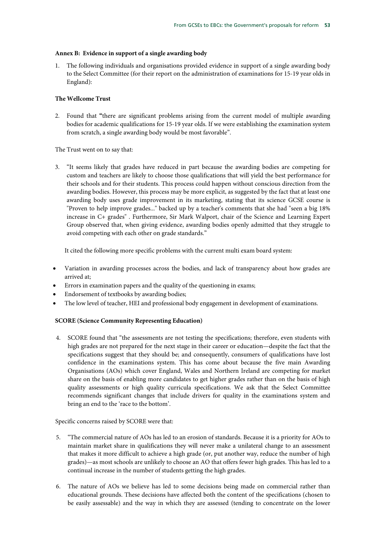## **Annex B: Evidence in support of a single awarding body**

1. The following individuals and organisations provided evidence in support of a single awarding body to the Select Committee (for their report on the administration of examinations for 15-19 year olds in England):

## **The Wellcome Trust**

2. Found that **"**there are significant problems arising from the current model of multiple awarding bodies for academic qualifications for 15-19 year olds. If we were establishing the examination system from scratch, a single awarding body would be most favorable".

The Trust went on to say that:

3. "It seems likely that grades have reduced in part because the awarding bodies are competing for custom and teachers are likely to choose those qualifications that will yield the best performance for their schools and for their students. This process could happen without conscious direction from the awarding bodies. However, this process may be more explicit, as suggested by the fact that at least one awarding body uses grade improvement in its marketing, stating that its science GCSE course is "Proven to help improve grades..." backed up by a teacher's comments that she had "seen a big 18% increase in C+ grades" . Furthermore, Sir Mark Walport, chair of the Science and Learning Expert Group observed that, when giving evidence, awarding bodies openly admitted that they struggle to avoid competing with each other on grade standards."

It cited the following more specific problems with the current multi exam board system:

- Variation in awarding processes across the bodies, and lack of transparency about how grades are arrived at;
- Errors in examination papers and the quality of the questioning in exams;
- Endorsement of textbooks by awarding bodies;
- The low level of teacher, HEI and professional body engagement in development of examinations.

## **SCORE (Science Community Representing Education)**

4. SCORE found that "the assessments are not testing the specifications; therefore, even students with high grades are not prepared for the next stage in their career or education—despite the fact that the specifications suggest that they should be; and consequently, consumers of qualifications have lost confidence in the examinations system. This has come about because the five main Awarding Organisations (AOs) which cover England, Wales and Northern Ireland are competing for market share on the basis of enabling more candidates to get higher grades rather than on the basis of high quality assessments or high quality curricula specifications. We ask that the Select Committee recommends significant changes that include drivers for quality in the examinations system and bring an end to the 'race to the bottom'.

Specific concerns raised by SCORE were that:

- 5. "The commercial nature of AOs has led to an erosion of standards. Because it is a priority for AOs to maintain market share in qualifications they will never make a unilateral change to an assessment that makes it more difficult to achieve a high grade (or, put another way, reduce the number of high grades)—as most schools are unlikely to choose an AO that offers fewer high grades. This has led to a continual increase in the number of students getting the high grades.
- 6. The nature of AOs we believe has led to some decisions being made on commercial rather than educational grounds. These decisions have affected both the content of the specifications (chosen to be easily assessable) and the way in which they are assessed (tending to concentrate on the lower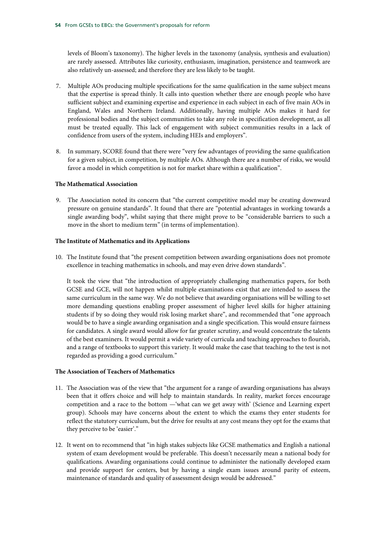levels of Bloom's taxonomy). The higher levels in the taxonomy (analysis, synthesis and evaluation) are rarely assessed. Attributes like curiosity, enthusiasm, imagination, persistence and teamwork are also relatively un-assessed; and therefore they are less likely to be taught.

- 7. Multiple AOs producing multiple specifications for the same qualification in the same subject means that the expertise is spread thinly. It calls into question whether there are enough people who have sufficient subject and examining expertise and experience in each subject in each of five main AOs in England, Wales and Northern Ireland. Additionally, having multiple AOs makes it hard for professional bodies and the subject communities to take any role in specification development, as all must be treated equally. This lack of engagement with subject communities results in a lack of confidence from users of the system, including HEIs and employers".
- 8. In summary, SCORE found that there were "very few advantages of providing the same qualification for a given subject, in competition, by multiple AOs. Although there are a number of risks, we would favor a model in which competition is not for market share within a qualification".

## **The Mathematical Association**

9. The Association noted its concern that "the current competitive model may be creating downward pressure on genuine standards". It found that there are "potential advantages in working towards a single awarding body", whilst saying that there might prove to be "considerable barriers to such a move in the short to medium term" (in terms of implementation).

#### **The Institute of Mathematics and its Applications**

10. The Institute found that "the present competition between awarding organisations does not promote excellence in teaching mathematics in schools, and may even drive down standards".

It took the view that "the introduction of appropriately challenging mathematics papers, for both GCSE and GCE, will not happen whilst multiple examinations exist that are intended to assess the same curriculum in the same way. We do not believe that awarding organisations will be willing to set more demanding questions enabling proper assessment of higher level skills for higher attaining students if by so doing they would risk losing market share", and recommended that "one approach would be to have a single awarding organisation and a single specification. This would ensure fairness for candidates. A single award would allow for far greater scrutiny, and would concentrate the talents of the best examiners. It would permit a wide variety of curricula and teaching approaches to flourish, and a range of textbooks to support this variety. It would make the case that teaching to the test is not regarded as providing a good curriculum."

## **The Association of Teachers of Mathematics**

- 11. The Association was of the view that "the argument for a range of awarding organisations has always been that it offers choice and will help to maintain standards. In reality, market forces encourage competition and a race to the bottom —'what can we get away with' (Science and Learning expert group). Schools may have concerns about the extent to which the exams they enter students for reflect the statutory curriculum, but the drive for results at any cost means they opt for the exams that they perceive to be 'easier'."
- 12. It went on to recommend that "in high stakes subjects like GCSE mathematics and English a national system of exam development would be preferable. This doesn't necessarily mean a national body for qualifications. Awarding organisations could continue to administer the nationally developed exam and provide support for centers, but by having a single exam issues around parity of esteem, maintenance of standards and quality of assessment design would be addressed."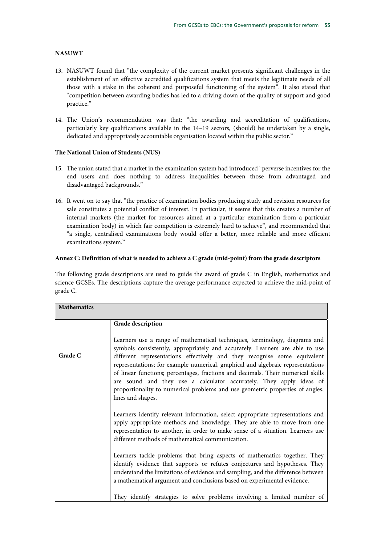## **NASUWT**

- 13. NASUWT found that "the complexity of the current market presents significant challenges in the establishment of an effective accredited qualifications system that meets the legitimate needs of all those with a stake in the coherent and purposeful functioning of the system". It also stated that "competition between awarding bodies has led to a driving down of the quality of support and good practice."
- 14. The Union's recommendation was that: "the awarding and accreditation of qualifications, particularly key qualifications available in the 14–19 sectors, (should) be undertaken by a single, dedicated and appropriately accountable organisation located within the public sector."

## **The National Union of Students (NUS)**

- 15. The union stated that a market in the examination system had introduced "perverse incentives for the end users and does nothing to address inequalities between those from advantaged and disadvantaged backgrounds."
- 16. It went on to say that "the practice of examination bodies producing study and revision resources for sale constitutes a potential conflict of interest. In particular, it seems that this creates a number of internal markets (the market for resources aimed at a particular examination from a particular examination body) in which fair competition is extremely hard to achieve", and recommended that "a single, centralised examinations body would offer a better, more reliable and more efficient examinations system."

## **Annex C: Definition of what is needed to achieve a C grade (mid-point) from the grade descriptors**

The following grade descriptions are used to guide the award of grade C in English, mathematics and science GCSEs. The descriptions capture the average performance expected to achieve the mid-point of grade C.

| <b>Mathematics</b> |                                                                                                                                                                                                                                                                                                                                                                                                                                                                                                                                                                                            |
|--------------------|--------------------------------------------------------------------------------------------------------------------------------------------------------------------------------------------------------------------------------------------------------------------------------------------------------------------------------------------------------------------------------------------------------------------------------------------------------------------------------------------------------------------------------------------------------------------------------------------|
|                    | Grade description                                                                                                                                                                                                                                                                                                                                                                                                                                                                                                                                                                          |
| Grade C            | Learners use a range of mathematical techniques, terminology, diagrams and<br>symbols consistently, appropriately and accurately. Learners are able to use<br>different representations effectively and they recognise some equivalent<br>representations; for example numerical, graphical and algebraic representations<br>of linear functions; percentages, fractions and decimals. Their numerical skills<br>are sound and they use a calculator accurately. They apply ideas of<br>proportionality to numerical problems and use geometric properties of angles,<br>lines and shapes. |
|                    | Learners identify relevant information, select appropriate representations and<br>apply appropriate methods and knowledge. They are able to move from one<br>representation to another, in order to make sense of a situation. Learners use<br>different methods of mathematical communication.                                                                                                                                                                                                                                                                                            |
|                    | Learners tackle problems that bring aspects of mathematics together. They<br>identify evidence that supports or refutes conjectures and hypotheses. They<br>understand the limitations of evidence and sampling, and the difference between<br>a mathematical argument and conclusions based on experimental evidence.                                                                                                                                                                                                                                                                     |
|                    | They identify strategies to solve problems involving a limited number of                                                                                                                                                                                                                                                                                                                                                                                                                                                                                                                   |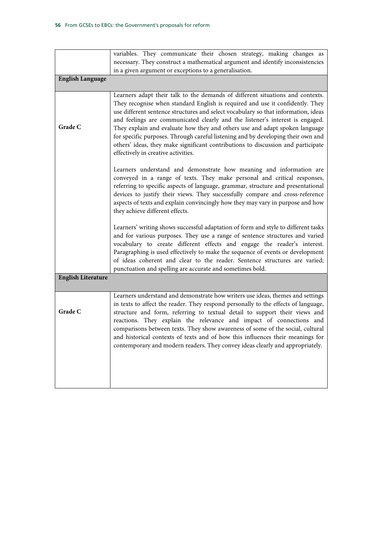| variables. They communicate their chosen strategy, making changes as                                                                                                                                                                                                                                                                                                                                                                                                                                                                                                                                                                 |
|--------------------------------------------------------------------------------------------------------------------------------------------------------------------------------------------------------------------------------------------------------------------------------------------------------------------------------------------------------------------------------------------------------------------------------------------------------------------------------------------------------------------------------------------------------------------------------------------------------------------------------------|
| necessary. They construct a mathematical argument and identify inconsistencies                                                                                                                                                                                                                                                                                                                                                                                                                                                                                                                                                       |
| in a given argument or exceptions to a generalisation.                                                                                                                                                                                                                                                                                                                                                                                                                                                                                                                                                                               |
|                                                                                                                                                                                                                                                                                                                                                                                                                                                                                                                                                                                                                                      |
| Learners adapt their talk to the demands of different situations and contexts.<br>They recognise when standard English is required and use it confidently. They<br>use different sentence structures and select vocabulary so that information, ideas<br>and feelings are communicated clearly and the listener's interest is engaged.<br>They explain and evaluate how they and others use and adapt spoken language<br>for specific purposes. Through careful listening and by developing their own and<br>others' ideas, they make significant contributions to discussion and participate<br>effectively in creative activities. |
| Learners understand and demonstrate how meaning and information are<br>conveyed in a range of texts. They make personal and critical responses,<br>referring to specific aspects of language, grammar, structure and presentational<br>devices to justify their views. They successfully compare and cross-reference<br>aspects of texts and explain convincingly how they may vary in purpose and how<br>they achieve different effects.                                                                                                                                                                                            |
| Learners' writing shows successful adaptation of form and style to different tasks<br>and for various purposes. They use a range of sentence structures and varied<br>vocabulary to create different effects and engage the reader's interest.<br>Paragraphing is used effectively to make the sequence of events or development<br>of ideas coherent and clear to the reader. Sentence structures are varied;<br>punctuation and spelling are accurate and sometimes bold.                                                                                                                                                          |
|                                                                                                                                                                                                                                                                                                                                                                                                                                                                                                                                                                                                                                      |
| Learners understand and demonstrate how writers use ideas, themes and settings<br>in texts to affect the reader. They respond personally to the effects of language,<br>structure and form, referring to textual detail to support their views and<br>reactions. They explain the relevance and impact of connections and<br>comparisons between texts. They show awareness of some of the social, cultural<br>and historical contexts of texts and of how this influences their meanings for<br>contemporary and modern readers. They convey ideas clearly and appropriately.                                                       |
|                                                                                                                                                                                                                                                                                                                                                                                                                                                                                                                                                                                                                                      |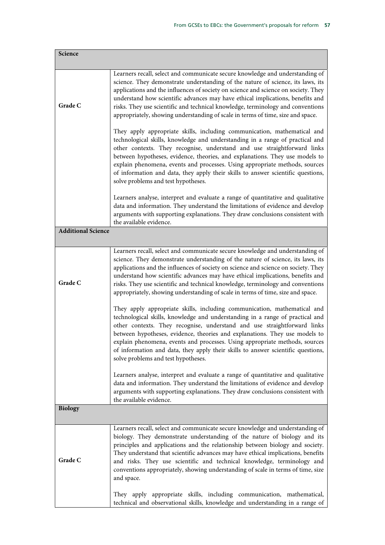| Science                   |                                                                                                                                                                                                                                                                                                                                                                                                                                                                                                                                 |
|---------------------------|---------------------------------------------------------------------------------------------------------------------------------------------------------------------------------------------------------------------------------------------------------------------------------------------------------------------------------------------------------------------------------------------------------------------------------------------------------------------------------------------------------------------------------|
| Grade C                   | Learners recall, select and communicate secure knowledge and understanding of<br>science. They demonstrate understanding of the nature of science, its laws, its<br>applications and the influences of society on science and science on society. They<br>understand how scientific advances may have ethical implications, benefits and<br>risks. They use scientific and technical knowledge, terminology and conventions<br>appropriately, showing understanding of scale in terms of time, size and space.                  |
|                           | They apply appropriate skills, including communication, mathematical and<br>technological skills, knowledge and understanding in a range of practical and<br>other contexts. They recognise, understand and use straightforward links<br>between hypotheses, evidence, theories, and explanations. They use models to<br>explain phenomena, events and processes. Using appropriate methods, sources<br>of information and data, they apply their skills to answer scientific questions,<br>solve problems and test hypotheses. |
|                           | Learners analyse, interpret and evaluate a range of quantitative and qualitative<br>data and information. They understand the limitations of evidence and develop<br>arguments with supporting explanations. They draw conclusions consistent with<br>the available evidence.                                                                                                                                                                                                                                                   |
| <b>Additional Science</b> |                                                                                                                                                                                                                                                                                                                                                                                                                                                                                                                                 |
| Grade C                   | Learners recall, select and communicate secure knowledge and understanding of<br>science. They demonstrate understanding of the nature of science, its laws, its<br>applications and the influences of society on science and science on society. They<br>understand how scientific advances may have ethical implications, benefits and<br>risks. They use scientific and technical knowledge, terminology and conventions<br>appropriately, showing understanding of scale in terms of time, size and space.                  |
|                           | They apply appropriate skills, including communication, mathematical and<br>technological skills, knowledge and understanding in a range of practical and<br>other contexts. They recognise, understand and use straightforward links<br>between hypotheses, evidence, theories and explanations. They use models to<br>explain phenomena, events and processes. Using appropriate methods, sources<br>of information and data, they apply their skills to answer scientific questions,<br>solve problems and test hypotheses.  |
|                           | Learners analyse, interpret and evaluate a range of quantitative and qualitative<br>data and information. They understand the limitations of evidence and develop<br>arguments with supporting explanations. They draw conclusions consistent with<br>the available evidence.                                                                                                                                                                                                                                                   |
| <b>Biology</b>            |                                                                                                                                                                                                                                                                                                                                                                                                                                                                                                                                 |
| Grade C                   | Learners recall, select and communicate secure knowledge and understanding of<br>biology. They demonstrate understanding of the nature of biology and its<br>principles and applications and the relationship between biology and society.<br>They understand that scientific advances may have ethical implications, benefits<br>and risks. They use scientific and technical knowledge, terminology and<br>conventions appropriately, showing understanding of scale in terms of time, size<br>and space.                     |
|                           | They apply appropriate skills, including communication, mathematical,<br>technical and observational skills, knowledge and understanding in a range of                                                                                                                                                                                                                                                                                                                                                                          |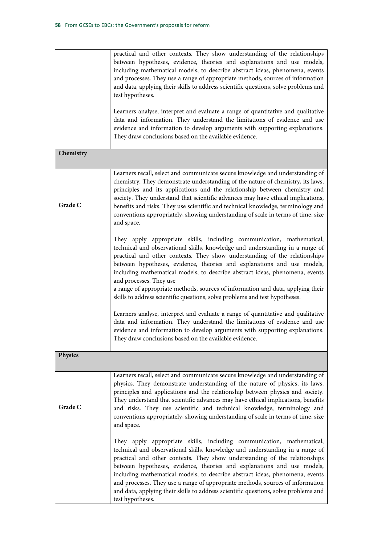|                | practical and other contexts. They show understanding of the relationships<br>between hypotheses, evidence, theories and explanations and use models,<br>including mathematical models, to describe abstract ideas, phenomena, events<br>and processes. They use a range of appropriate methods, sources of information<br>and data, applying their skills to address scientific questions, solve problems and<br>test hypotheses.<br>Learners analyse, interpret and evaluate a range of quantitative and qualitative<br>data and information. They understand the limitations of evidence and use<br>evidence and information to develop arguments with supporting explanations.<br>They draw conclusions based on the available evidence. |
|----------------|----------------------------------------------------------------------------------------------------------------------------------------------------------------------------------------------------------------------------------------------------------------------------------------------------------------------------------------------------------------------------------------------------------------------------------------------------------------------------------------------------------------------------------------------------------------------------------------------------------------------------------------------------------------------------------------------------------------------------------------------|
| Chemistry      |                                                                                                                                                                                                                                                                                                                                                                                                                                                                                                                                                                                                                                                                                                                                              |
| Grade C        | Learners recall, select and communicate secure knowledge and understanding of<br>chemistry. They demonstrate understanding of the nature of chemistry, its laws,<br>principles and its applications and the relationship between chemistry and<br>society. They understand that scientific advances may have ethical implications,<br>benefits and risks. They use scientific and technical knowledge, terminology and<br>conventions appropriately, showing understanding of scale in terms of time, size<br>and space.                                                                                                                                                                                                                     |
|                | They apply appropriate skills, including communication, mathematical,<br>technical and observational skills, knowledge and understanding in a range of<br>practical and other contexts. They show understanding of the relationships<br>between hypotheses, evidence, theories and explanations and use models,<br>including mathematical models, to describe abstract ideas, phenomena, events<br>and processes. They use<br>a range of appropriate methods, sources of information and data, applying their<br>skills to address scientific questions, solve problems and test hypotheses.                                                                                                                                                 |
|                | Learners analyse, interpret and evaluate a range of quantitative and qualitative<br>data and information. They understand the limitations of evidence and use<br>evidence and information to develop arguments with supporting explanations.<br>They draw conclusions based on the available evidence.                                                                                                                                                                                                                                                                                                                                                                                                                                       |
| <b>Physics</b> |                                                                                                                                                                                                                                                                                                                                                                                                                                                                                                                                                                                                                                                                                                                                              |
| Grade C        | Learners recall, select and communicate secure knowledge and understanding of<br>physics. They demonstrate understanding of the nature of physics, its laws,<br>principles and applications and the relationship between physics and society.<br>They understand that scientific advances may have ethical implications, benefits<br>and risks. They use scientific and technical knowledge, terminology and<br>conventions appropriately, showing understanding of scale in terms of time, size<br>and space.                                                                                                                                                                                                                               |
|                | They apply appropriate skills, including communication, mathematical,<br>technical and observational skills, knowledge and understanding in a range of<br>practical and other contexts. They show understanding of the relationships<br>between hypotheses, evidence, theories and explanations and use models,<br>including mathematical models, to describe abstract ideas, phenomena, events<br>and processes. They use a range of appropriate methods, sources of information<br>and data, applying their skills to address scientific questions, solve problems and<br>test hypotheses.                                                                                                                                                 |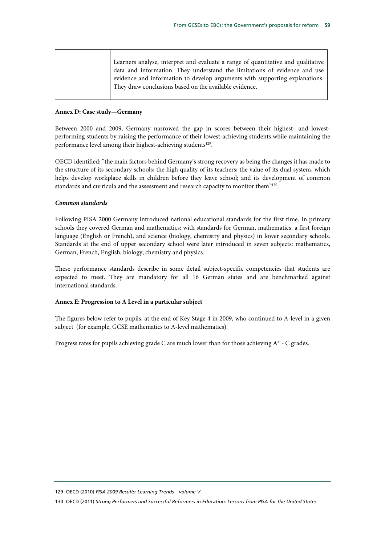| Learners analyse, interpret and evaluate a range of quantitative and qualitative |
|----------------------------------------------------------------------------------|
|                                                                                  |
| data and information. They understand the limitations of evidence and use        |
| evidence and information to develop arguments with supporting explanations.      |
| They draw conclusions based on the available evidence.                           |
|                                                                                  |

#### **Annex D: Case study—Germany**

Between 2000 and 2009, Germany narrowed the gap in scores between their highest- and lowestperforming students by raising the performance of their lowest-achieving students while maintaining the performance level among their highest-achieving students<sup>129</sup>.

OECD identified: "the main factors behind Germany's strong recovery as being the changes it has made to the structure of its secondary schools; the high quality of its teachers; the value of its dual system, which helps develop workplace skills in children before they leave school; and its development of common standards and curricula and the assessment and research capacity to monitor them"<sup>130</sup>.

#### *Common standards*

Following PISA 2000 Germany introduced national educational standards for the first time. In primary schools they covered German and mathematics; with standards for German, mathematics, a first foreign language (English or French), and science (biology, chemistry and physics) in lower secondary schools. Standards at the end of upper secondary school were later introduced in seven subjects: mathematics, German, French, English, biology, chemistry and physics.

These performance standards describe in some detail subject-specific competencies that students are expected to meet. They are mandatory for all 16 German states and are benchmarked against international standards.

## **Annex E: Progression to A Level in a particular subject**

The figures below refer to pupils, at the end of Key Stage 4 in 2009, who continued to A-level in a given subject (for example, GCSE mathematics to A-level mathematics).

Progress rates for pupils achieving grade C are much lower than for those achieving A\* - C grades.

129 OECD (2010) *PISA 2009 Results: Learning Trends – volume V*

130 OECD (2011) *Strong Performers and Successful Reformers in Education: Lessons from PISA for the United States*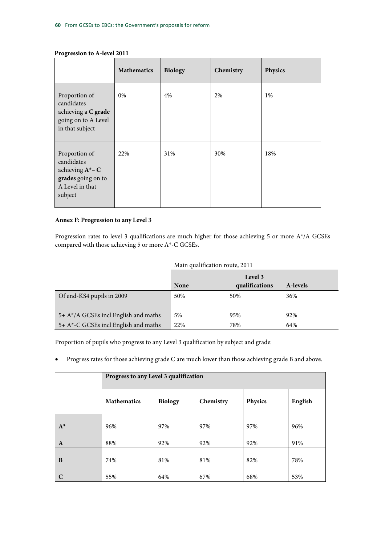|                                                                                                      | <b>Mathematics</b> | <b>Biology</b> | Chemistry | Physics |
|------------------------------------------------------------------------------------------------------|--------------------|----------------|-----------|---------|
| Proportion of<br>candidates<br>achieving a C grade<br>going on to A Level<br>in that subject         | 0%                 | 4%             | 2%        | 1%      |
| Proportion of<br>candidates<br>achieving $A^*-C$<br>grades going on to<br>A Level in that<br>subject | 22%                | 31%            | 30%       | 18%     |

## **Progression to A-level 2011**

## **Annex F: Progression to any Level 3**

Progression rates to level 3 qualifications are much higher for those achieving 5 or more A\*/A GCSEs compared with those achieving 5 or more A\*-C GCSEs.

## Main qualification route, 2011

|                                         |             | Level 3        |          |
|-----------------------------------------|-------------|----------------|----------|
|                                         | <b>None</b> | qualifications | A-levels |
| Of end-KS4 pupils in 2009               | 50%         | 50%            | 36%      |
| $5+ A^*/A$ GCSEs incl English and maths | 5%          | 95%            | 92%      |
| 5+ A*-C GCSEs incl English and maths    | 22%         | 78%            | 64%      |

Proportion of pupils who progress to any Level 3 qualification by subject and grade:

• Progress rates for those achieving grade C are much lower than those achieving grade B and above.

|              | Progress to any Level 3 qualification |                |           |         |         |  |  |
|--------------|---------------------------------------|----------------|-----------|---------|---------|--|--|
|              | <b>Mathematics</b>                    | <b>Biology</b> | Chemistry | Physics | English |  |  |
| $A^*$        | 96%                                   | 97%            | 97%       | 97%     | 96%     |  |  |
| $\mathbf{A}$ | 88%                                   | 92%            | 92%       | 92%     | 91%     |  |  |
| B            | 74%                                   | 81%            | 81%       | 82%     | 78%     |  |  |
| C            | 55%                                   | 64%            | 67%       | 68%     | 53%     |  |  |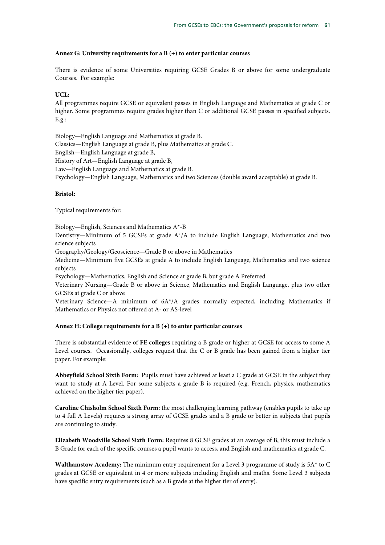## **Annex G: University requirements for a B (+) to enter particular courses**

There is evidence of some Universities requiring GCSE Grades B or above for some undergraduate Courses. For example:

## **UCL:**

All programmes require GCSE or equivalent passes in English Language and Mathematics at grade C or higher. Some programmes require grades higher than C or additional GCSE passes in specified subjects. E.g.:

Biology—English Language and Mathematics at grade B.

Classics—English Language at grade B, plus Mathematics at grade C.

English—English Language at grade B,

History of Art—English Language at grade B,

Law—English Language and Mathematics at grade B.

Psychology—English Language, Mathematics and two Sciences (double award acceptable) at grade B.

## **Bristol:**

Typical requirements for:

Biology—English, Sciences and Mathematics A\*-B

Dentistry—Minimum of 5 GCSEs at grade  $A^*/A$  to include English Language, Mathematics and two science subjects

Geography/Geology/Geoscience—Grade B or above in Mathematics

Medicine—Minimum five GCSEs at grade A to include English Language, Mathematics and two science subjects

Psychology—Mathematics, English and Science at grade B, but grade A Preferred

Veterinary Nursing—Grade B or above in Science, Mathematics and English Language, plus two other GCSEs at grade C or above

Veterinary Science—A minimum of 6A\*/A grades normally expected, including Mathematics if Mathematics or Physics not offered at A- or AS-level

## **Annex H: College requirements for a B (+) to enter particular courses**

There is substantial evidence of **FE colleges** requiring a B grade or higher at GCSE for access to some A Level courses. Occasionally, colleges request that the C or B grade has been gained from a higher tier paper. For example:

**Abbeyfield School Sixth Form:** Pupils must have achieved at least a C grade at GCSE in the subject they want to study at A Level. For some subjects a grade B is required (e.g. French, physics, mathematics achieved on the higher tier paper).

**Caroline Chisholm School Sixth Form:** the most challenging learning pathway (enables pupils to take up to 4 full A Levels) requires a strong array of GCSE grades and a B grade or better in subjects that pupils are continuing to study.

**Elizabeth Woodville School Sixth Form:** Requires 8 GCSE grades at an average of B, this must include a B Grade for each of the specific courses a pupil wants to access, and English and mathematics at grade C.

**Walthamstow Academy:** The minimum entry requirement for a Level 3 programme of study is 5A\* to C grades at GCSE or equivalent in 4 or more subjects including English and maths. Some Level 3 subjects have specific entry requirements (such as a B grade at the higher tier of entry).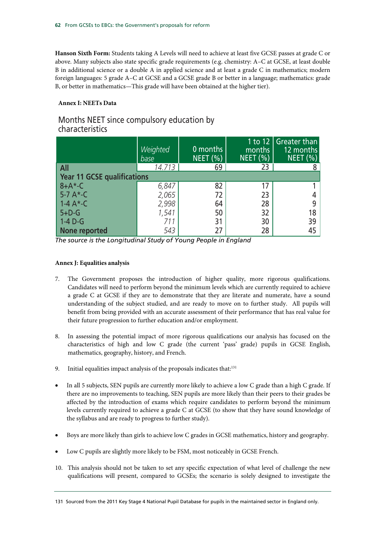**Hanson Sixth Form:** Students taking A Levels will need to achieve at least five GCSE passes at grade C or above. Many subjects also state specific grade requirements (e.g. chemistry: A–C at GCSE, at least double B in additional science or a double A in applied science and at least a grade C in mathematics; modern foreign languages: 5 grade A–C at GCSE and a GCSE grade B or better in a language; mathematics: grade B, or better in mathematics—This grade will have been obtained at the higher tier).

## **Annex I: NEETs Data**

## Months NEET since compulsory education by characteristics

|                                    | Weighted<br>base | 0 months<br><b>NEET (%)</b> | months<br>$NEFT$ $\left(\% \right)$ | 1 to 12   Greater than<br>12 months<br>$NEET$ (%) |  |  |  |  |
|------------------------------------|------------------|-----------------------------|-------------------------------------|---------------------------------------------------|--|--|--|--|
| All                                | 14.713           | 69                          | 23                                  |                                                   |  |  |  |  |
| <b>Year 11 GCSE qualifications</b> |                  |                             |                                     |                                                   |  |  |  |  |
| $8+A*-C$                           | 6,847            | 82                          |                                     |                                                   |  |  |  |  |
| $5-7A*-C$                          | 2,065            | 72                          | 23                                  |                                                   |  |  |  |  |
| $1 - 4A^* - C$                     | 2,998            | 64                          | 28                                  |                                                   |  |  |  |  |
| $5+D-G$                            | 1,541            | 50                          | 32                                  | 18                                                |  |  |  |  |
| $1-4D-G$                           | 711              | 31                          | 30                                  | 39                                                |  |  |  |  |
| None reported                      | 543              | 27                          | 28                                  | 45                                                |  |  |  |  |

*The source is the Longitudinal Study of Young People in England* 

## **Annex J: Equalities analysis**

- 7. The Government proposes the introduction of higher quality, more rigorous qualifications. Candidates will need to perform beyond the minimum levels which are currently required to achieve a grade C at GCSE if they are to demonstrate that they are literate and numerate, have a sound understanding of the subject studied, and are ready to move on to further study. All pupils will benefit from being provided with an accurate assessment of their performance that has real value for their future progression to further education and/or employment.
- 8. In assessing the potential impact of more rigorous qualifications our analysis has focused on the characteristics of high and low C grade (the current 'pass' grade) pupils in GCSE English, mathematics, geography, history, and French.
- 9. Initial equalities impact analysis of the proposals indicates that: $131$
- In all 5 subjects, SEN pupils are currently more likely to achieve a low C grade than a high C grade. If there are no improvements to teaching, SEN pupils are more likely than their peers to their grades be affected by the introduction of exams which require candidates to perform beyond the minimum levels currently required to achieve a grade C at GCSE (to show that they have sound knowledge of the syllabus and are ready to progress to further study).
- Boys are more likely than girls to achieve low C grades in GCSE mathematics, history and geography.
- Low C pupils are slightly more likely to be FSM, most noticeably in GCSE French.
- 10. This analysis should not be taken to set any specific expectation of what level of challenge the new qualifications will present, compared to GCSEs; the scenario is solely designed to investigate the

<sup>131</sup> Sourced from the 2011 Key Stage 4 National Pupil Database for pupils in the maintained sector in England only.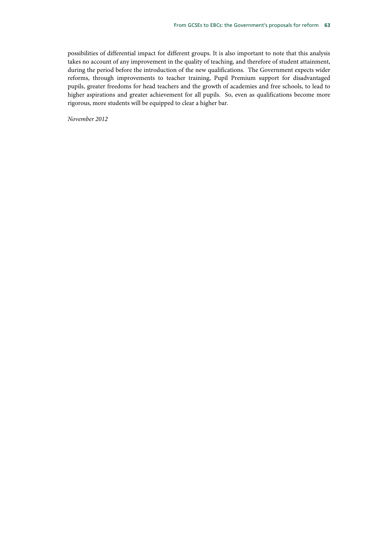possibilities of differential impact for different groups. It is also important to note that this analysis takes no account of any improvement in the quality of teaching, and therefore of student attainment, during the period before the introduction of the new qualifications. The Government expects wider reforms, through improvements to teacher training, Pupil Premium support for disadvantaged pupils, greater freedoms for head teachers and the growth of academies and free schools, to lead to higher aspirations and greater achievement for all pupils. So, even as qualifications become more rigorous, more students will be equipped to clear a higher bar.

*November 2012*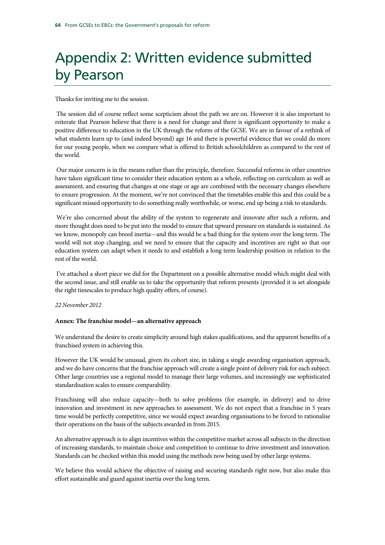# Appendix 2: Written evidence submitted by Pearson

Thanks for inviting me to the session.

 The session did of course reflect some scepticism about the path we are on. However it is also important to reiterate that Pearson believe that there is a need for change and there is significant opportunity to make a positive difference to education in the UK through the reform of the GCSE. We are in favour of a rethink of what students learn up to (and indeed beyond) age 16 and there is powerful evidence that we could do more for our young people, when we compare what is offered to British schoolchildren as compared to the rest of the world.

 Our major concern is in the means rather than the principle, therefore. Successful reforms in other countries have taken significant time to consider their education system as a whole, reflecting on curriculum as well as assessment, and ensuring that changes at one stage or age are combined with the necessary changes elsewhere to ensure progression. At the moment, we're not convinced that the timetables enable this and this could be a significant missed opportunity to do something really worthwhile, or worse, end up being a risk to standards.

We're also concerned about the ability of the system to regenerate and innovate after such a reform, and more thought does need to be put into the model to ensure that upward pressure on standards is sustained. As we know, monopoly can breed inertia—and this would be a bad thing for the system over the long term. The world will not stop changing, and we need to ensure that the capacity and incentives are right so that our education system can adapt when it needs to and establish a long term leadership position in relation to the rest of the world.

 I've attached a short piece we did for the Department on a possible alternative model which might deal with the second issue, and still enable us to take the opportunity that reform presents (provided it is set alongside the right timescales to produce high quality offers, of course).

## *22 November 2012*

## **Annex: The franchise model—an alternative approach**

We understand the desire to create simplicity around high stakes qualifications, and the apparent benefits of a franchised system in achieving this.

However the UK would be unusual, given its cohort size, in taking a single awarding organisation approach, and we do have concerns that the franchise approach will create a single point of delivery risk for each subject. Other large countries use a regional model to manage their large volumes, and increasingly use sophisticated standardisation scales to ensure comparability.

Franchising will also reduce capacity—both to solve problems (for example, in delivery) and to drive innovation and investment in new approaches to assessment. We do not expect that a franchise in 5 years time would be perfectly competitive, since we would expect awarding organisations to be forced to rationalise their operations on the basis of the subjects awarded in from 2015.

An alternative approach is to align incentives within the competitive market across all subjects in the direction of increasing standards, to maintain choice and competition to continue to drive investment and innovation. Standards can be checked within this model using the methods now being used by other large systems.

We believe this would achieve the objective of raising and securing standards right now, but also make this effort sustainable and guard against inertia over the long term.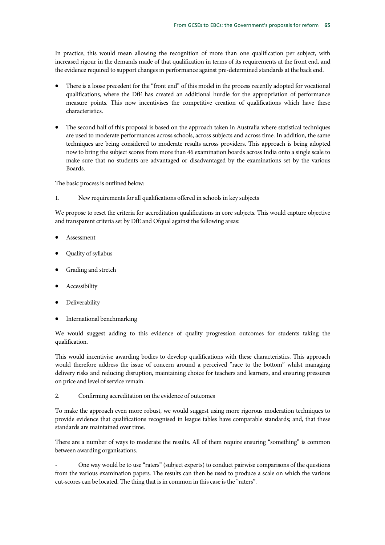In practice, this would mean allowing the recognition of more than one qualification per subject, with increased rigour in the demands made of that qualification in terms of its requirements at the front end, and the evidence required to support changes in performance against pre-determined standards at the back end.

- There is a loose precedent for the "front end" of this model in the process recently adopted for vocational qualifications, where the DfE has created an additional hurdle for the appropriation of performance measure points. This now incentivises the competitive creation of qualifications which have these characteristics.
- The second half of this proposal is based on the approach taken in Australia where statistical techniques are used to moderate performances across schools, across subjects and across time. In addition, the same techniques are being considered to moderate results across providers. This approach is being adopted now to bring the subject scores from more than 46 examination boards across India onto a single scale to make sure that no students are advantaged or disadvantaged by the examinations set by the various Boards.

The basic process is outlined below:

1. New requirements for all qualifications offered in schools in key subjects

We propose to reset the criteria for accreditation qualifications in core subjects. This would capture objective and transparent criteria set by DfE and Ofqual against the following areas:

- Assessment
- Quality of syllabus
- Grading and stretch
- **Accessibility**
- Deliverability
- International benchmarking

We would suggest adding to this evidence of quality progression outcomes for students taking the qualification.

This would incentivise awarding bodies to develop qualifications with these characteristics. This approach would therefore address the issue of concern around a perceived "race to the bottom" whilst managing delivery risks and reducing disruption, maintaining choice for teachers and learners, and ensuring pressures on price and level of service remain.

2. Confirming accreditation on the evidence of outcomes

To make the approach even more robust, we would suggest using more rigorous moderation techniques to provide evidence that qualifications recognised in league tables have comparable standards; and, that these standards are maintained over time.

There are a number of ways to moderate the results. All of them require ensuring "something" is common between awarding organisations.

- One way would be to use "raters" (subject experts) to conduct pairwise comparisons of the questions from the various examination papers. The results can then be used to produce a scale on which the various cut-scores can be located. The thing that is in common in this case is the "raters".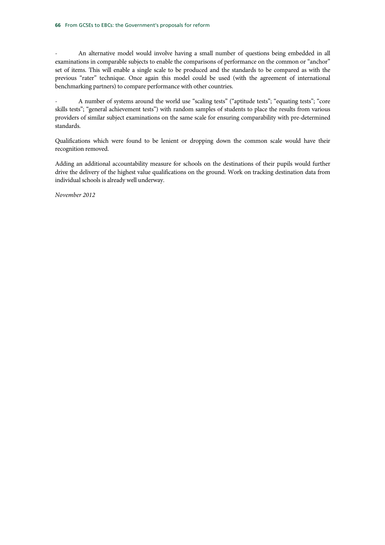- An alternative model would involve having a small number of questions being embedded in all examinations in comparable subjects to enable the comparisons of performance on the common or "anchor" set of items. This will enable a single scale to be produced and the standards to be compared as with the previous "rater" technique. Once again this model could be used (with the agreement of international benchmarking partners) to compare performance with other countries.

- A number of systems around the world use "scaling tests" ("aptitude tests"; "equating tests"; "core skills tests"; "general achievement tests") with random samples of students to place the results from various providers of similar subject examinations on the same scale for ensuring comparability with pre-determined standards.

Qualifications which were found to be lenient or dropping down the common scale would have their recognition removed.

Adding an additional accountability measure for schools on the destinations of their pupils would further drive the delivery of the highest value qualifications on the ground. Work on tracking destination data from individual schools is already well underway.

*November 2012*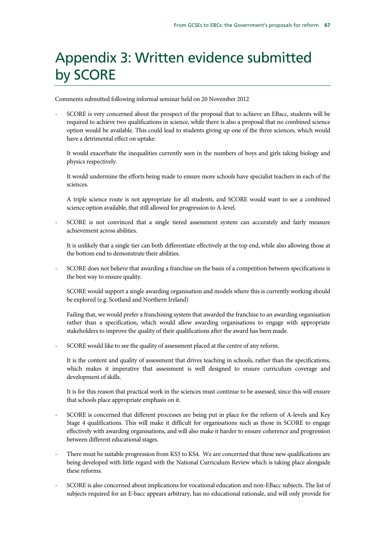## Appendix 3: Written evidence submitted by SCORE

Comments submitted following informal seminar held on 20 November 2012

- SCORE is very concerned about the prospect of the proposal that to achieve an EBacc, students will be required to achieve two qualifications in science, while there is also a proposal that no combined science option would be available. This could lead to students giving up one of the three sciences, which would have a detrimental effect on uptake:

 It would exacerbate the inequalities currently seen in the numbers of boys and girls taking biology and physics respectively.

 It would undermine the efforts being made to ensure more schools have specialist teachers in each of the sciences.

 A triple science route is not appropriate for all students, and SCORE would want to see a combined science option available, that still allowed for progression to A-level.

SCORE is not convinced that a single tiered assessment system can accurately and fairly measure achievement across abilities.

 It is unlikely that a single tier can both differentiate effectively at the top end, while also allowing those at the bottom end to demonstrate their abilities.

- SCORE does not believe that awarding a franchise on the basis of a competition between specifications is the best way to ensure quality.

 SCORE would support a single awarding organisation and models where this is currently working should be explored (e.g. Scotland and Northern Ireland)

 Failing that, we would prefer a franchising system that awarded the franchise to an awarding organisation rather than a specification, which would allow awarding organisations to engage with appropriate stakeholders to improve the quality of their qualifications after the award has been made.

SCORE would like to see the quality of assessment placed at the centre of any reform.

 It is the content and quality of assessment that drives teaching in schools, rather than the specifications, which makes it imperative that assessment is well designed to ensure curriculum coverage and development of skills.

 It is for this reason that practical work in the sciences must continue to be assessed, since this will ensure that schools place appropriate emphasis on it.

- SCORE is concerned that different processes are being put in place for the reform of A-levels and Key Stage 4 qualifications. This will make it difficult for organisations such as those in SCORE to engage effectively with awarding organisations, and will also make it harder to ensure coherence and progression between different educational stages.
- There must be suitable progression from KS3 to KS4. We are concerned that these new qualifications are being developed with little regard with the National Curriculum Review which is taking place alongside these reforms.
- SCORE is also concerned about implications for vocational education and non-EBacc subjects. The list of subjects required for an E-bacc appears arbitrary, has no educational rationale, and will only provide for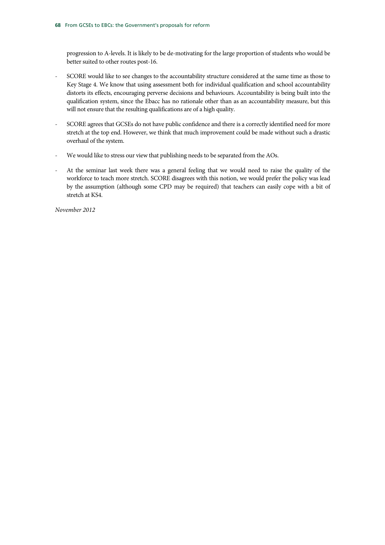progression to A-levels. It is likely to be de-motivating for the large proportion of students who would be better suited to other routes post-16.

- SCORE would like to see changes to the accountability structure considered at the same time as those to Key Stage 4. We know that using assessment both for individual qualification and school accountability distorts its effects, encouraging perverse decisions and behaviours. Accountability is being built into the qualification system, since the Ebacc has no rationale other than as an accountability measure, but this will not ensure that the resulting qualifications are of a high quality.
- SCORE agrees that GCSEs do not have public confidence and there is a correctly identified need for more stretch at the top end. However, we think that much improvement could be made without such a drastic overhaul of the system.
- We would like to stress our view that publishing needs to be separated from the AOs.
- At the seminar last week there was a general feeling that we would need to raise the quality of the workforce to teach more stretch. SCORE disagrees with this notion, we would prefer the policy was lead by the assumption (although some CPD may be required) that teachers can easily cope with a bit of stretch at KS4.

*November 2012*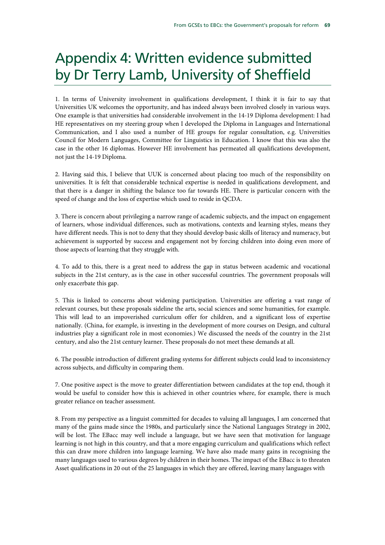# Appendix 4: Written evidence submitted by Dr Terry Lamb, University of Sheffield

1. In terms of University involvement in qualifications development, I think it is fair to say that Universities UK welcomes the opportunity, and has indeed always been involved closely in various ways. One example is that universities had considerable involvement in the 14-19 Diploma development: I had HE representatives on my steering group when I developed the Diploma in Languages and International Communication, and I also used a number of HE groups for regular consultation, e.g. Universities Council for Modern Languages, Committee for Linguistics in Education. I know that this was also the case in the other 16 diplomas. However HE involvement has permeated all qualifications development, not just the 14-19 Diploma.

2. Having said this, I believe that UUK is concerned about placing too much of the responsibility on universities. It is felt that considerable technical expertise is needed in qualifications development, and that there is a danger in shifting the balance too far towards HE. There is particular concern with the speed of change and the loss of expertise which used to reside in QCDA.

3. There is concern about privileging a narrow range of academic subjects, and the impact on engagement of learners, whose individual differences, such as motivations, contexts and learning styles, means they have different needs. This is not to deny that they should develop basic skills of literacy and numeracy, but achievement is supported by success and engagement not by forcing children into doing even more of those aspects of learning that they struggle with.

4. To add to this, there is a great need to address the gap in status between academic and vocational subjects in the 21st century, as is the case in other successful countries. The government proposals will only exacerbate this gap.

5. This is linked to concerns about widening participation. Universities are offering a vast range of relevant courses, but these proposals sideline the arts, social sciences and some humanities, for example. This will lead to an impoverished curriculum offer for children, and a significant loss of expertise nationally. (China, for example, is investing in the development of more courses on Design, and cultural industries play a significant role in most economies.) We discussed the needs of the country in the 21st century, and also the 21st century learner. These proposals do not meet these demands at all.

6. The possible introduction of different grading systems for different subjects could lead to inconsistency across subjects, and difficulty in comparing them.

7. One positive aspect is the move to greater differentiation between candidates at the top end, though it would be useful to consider how this is achieved in other countries where, for example, there is much greater reliance on teacher assessment.

8. From my perspective as a linguist committed for decades to valuing all languages, I am concerned that many of the gains made since the 1980s, and particularly since the National Languages Strategy in 2002, will be lost. The EBacc may well include a language, but we have seen that motivation for language learning is not high in this country, and that a more engaging curriculum and qualifications which reflect this can draw more children into language learning. We have also made many gains in recognising the many languages used to various degrees by children in their homes. The impact of the EBacc is to threaten Asset qualifications in 20 out of the 25 languages in which they are offered, leaving many languages with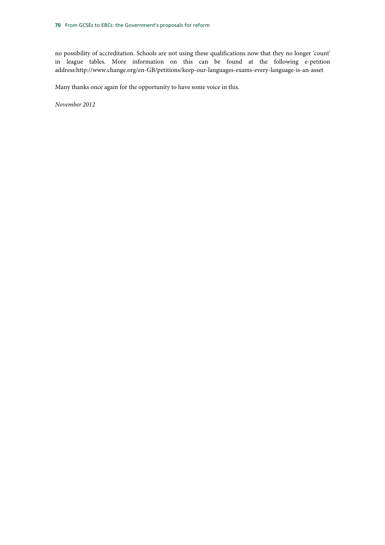no possibility of accreditation. Schools are not using these qualifications now that they no longer 'count' in league tables. More information on this can be found at the following e-petition address:http://www.change.org/en-GB/petitions/keep-our-languages-exams-every-language-is-an-asset

Many thanks once again for the opportunity to have some voice in this.

*November 2012*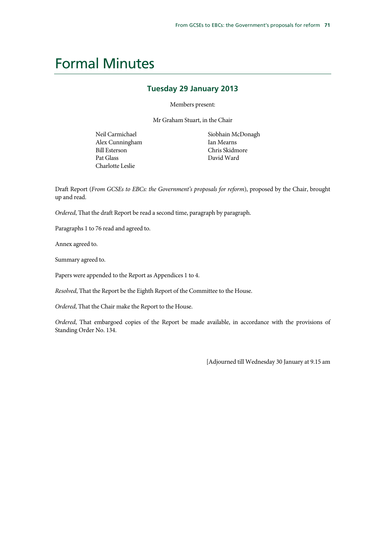### Formal Minutes

#### **Tuesday 29 January 2013**

Members present:

Mr Graham Stuart, in the Chair

Neil Carmichael Alex Cunningham Bill Esterson Pat Glass Charlotte Leslie

Siobhain McDonagh Ian Mearns Chris Skidmore David Ward

Draft Report (*From GCSEs to EBCs: the Government's proposals for reform*), proposed by the Chair, brought up and read.

*Ordered*, That the draft Report be read a second time, paragraph by paragraph.

Paragraphs 1 to 76 read and agreed to.

Annex agreed to.

Summary agreed to.

Papers were appended to the Report as Appendices 1 to 4.

*Resolved*, That the Report be the Eighth Report of the Committee to the House.

*Ordered*, That the Chair make the Report to the House.

*Ordered*, That embargoed copies of the Report be made available, in accordance with the provisions of Standing Order No. 134.

[Adjourned till Wednesday 30 January at 9.15 am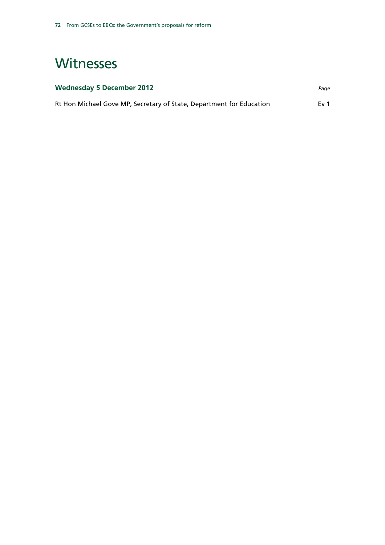### **Witnesses**

| <b>Wednesday 5 December 2012</b>                                     | Page |
|----------------------------------------------------------------------|------|
| Rt Hon Michael Gove MP, Secretary of State, Department for Education | Ev 1 |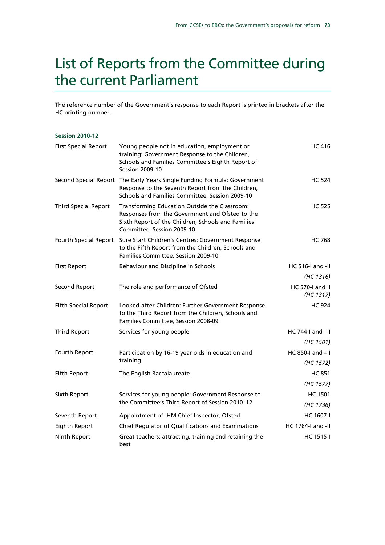## List of Reports from the Committee during the current Parliament

The reference number of the Government's response to each Report is printed in brackets after the HC printing number.

| <b>Session 2010-12</b>      |                                                                                                                                                                                      |                              |
|-----------------------------|--------------------------------------------------------------------------------------------------------------------------------------------------------------------------------------|------------------------------|
| <b>First Special Report</b> | Young people not in education, employment or<br>training: Government Response to the Children,<br>Schools and Families Committee's Eighth Report of<br><b>Session 2009-10</b>        | <b>HC 416</b>                |
|                             | Second Special Report The Early Years Single Funding Formula: Government<br>Response to the Seventh Report from the Children,<br>Schools and Families Committee, Session 2009-10     | <b>HC 524</b>                |
| <b>Third Special Report</b> | Transforming Education Outside the Classroom:<br>Responses from the Government and Ofsted to the<br>Sixth Report of the Children, Schools and Families<br>Committee, Session 2009-10 | <b>HC 525</b>                |
|                             | Fourth Special Report Sure Start Children's Centres: Government Response<br>to the Fifth Report from the Children, Schools and<br>Families Committee, Session 2009-10                | <b>HC 768</b>                |
| <b>First Report</b>         | Behaviour and Discipline in Schools                                                                                                                                                  | $HC 516-I$ and $-II$         |
|                             |                                                                                                                                                                                      | (HC 1316)                    |
| Second Report               | The role and performance of Ofsted                                                                                                                                                   | HC 570-I and II<br>(HC 1317) |
| <b>Fifth Special Report</b> | Looked-after Children: Further Government Response<br>to the Third Report from the Children, Schools and<br>Families Committee, Session 2008-09                                      | <b>HC 924</b>                |
| <b>Third Report</b>         | Services for young people                                                                                                                                                            | HC 744-I and $-H$            |
|                             |                                                                                                                                                                                      | (HC 1501)                    |
| Fourth Report               | Participation by 16-19 year olds in education and<br>training                                                                                                                        | HC 850-I and -II             |
|                             |                                                                                                                                                                                      | (HC 1572)                    |
| <b>Fifth Report</b>         | The English Baccalaureate                                                                                                                                                            | <b>HC 851</b>                |
|                             |                                                                                                                                                                                      | (HC 1577)                    |
| Sixth Report                | Services for young people: Government Response to<br>the Committee's Third Report of Session 2010-12                                                                                 | <b>HC 1501</b>               |
|                             |                                                                                                                                                                                      | (HC 1736)                    |
| Seventh Report              | Appointment of HM Chief Inspector, Ofsted                                                                                                                                            | <b>HC 1607-I</b>             |
| Eighth Report               | Chief Regulator of Qualifications and Examinations                                                                                                                                   | HC 1764-I and -II            |
| Ninth Report                | Great teachers: attracting, training and retaining the<br>best                                                                                                                       | <b>HC 1515-I</b>             |